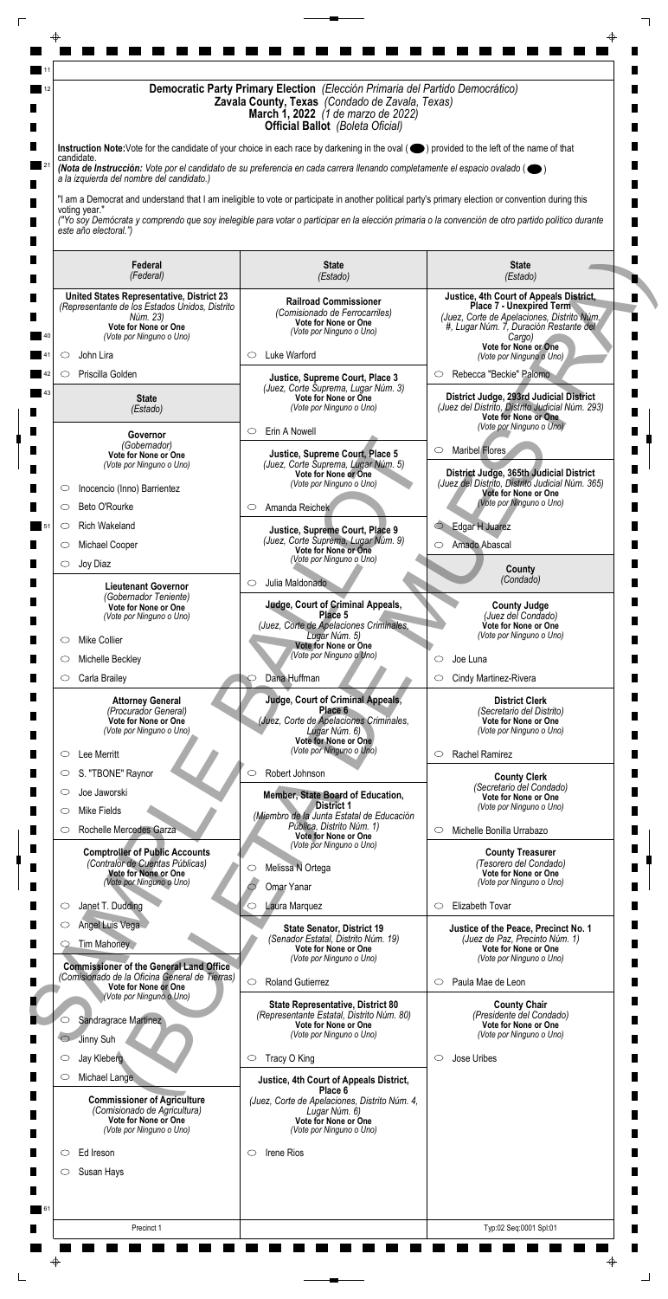| Instruction Note: Vote for the candidate of your choice in each race by darkening in the oval (O) provided to the left of the name of that<br>candidate.<br>(Nota de Instrucción: Vote por el candidato de su preferencia en cada carrera llenando completamente el espacio ovalado ( $\bullet$ )<br>a la izquierda del nombre del candidato.)<br>"I am a Democrat and understand that I am ineligible to vote or participate in another political party's primary election or convention during this<br>voting year."<br>("Yo soy Demócrata y comprendo que soy inelegible para votar o participar en la elección primaria o la convención de otro partido político durante<br>este año electoral.")<br><b>State</b><br><b>State</b><br>Federal<br>(Federal)<br>(Estado)<br>(Estado)<br>Justice, 4th Court of Appeals District,<br><b>United States Representative, District 23</b><br><b>Railroad Commissioner</b><br><b>Place 7 - Unexpired Term</b><br>(Representante de los Estados Unidos, Distrito<br>(Comisionado de Ferrocarriles)<br>(Juez, Corte de Apelaciones, Distrito Núm.<br>Núm. 23)<br>Vote for None or One<br>Vote for None or One<br>#, Lugar Núm. 7, Duración Restante del<br>(Vote por Ninguno o Uno)<br>(Vote por Ninguno o Uno)<br>Cargo)<br>Vote for None or One<br>Luke Warford<br>John Lira<br>O<br>O<br>(Vote por Ninguno o Uno)<br>Priscilla Golden<br>Rebecca "Beckie" Palomo<br>$\circ$<br>O<br>Justice, Supreme Court, Place 3<br>(Juez, Corte Suprema, Lugar Núm. 3)<br>District Judge, 293rd Judicial District<br>Vote for None or One<br><b>State</b><br>(Juez del Distrito, Distrito Judicial Núm. 293)<br>(Vote por Ninguno o Uno)<br>(Estado)<br><b>Vote for None or One</b><br>(Vote por Ninguno o Uno)<br>Erin A Nowell<br>$\circ$<br>Governor<br>(Gobernador)<br>Maribel Flores<br>O<br>Justice, Supreme Court, Place 5<br>Vote for None or One<br>(Juez, Corte Suprema, Lugar Núm. 5)<br>(Vote por Ninguno o Uno)<br>District Judge, 365th Judicial District<br>Vote for None or One<br>(Juez del Distrito, Distrito Judicial Núm. 365)<br>(Vote por Ninguno o Uno)<br>Inocencio (Inno) Barrientez<br>O<br><b>Vote for None or One</b><br>(Vote por Ninguno o Uno)<br>Amanda Reichek<br>Beto O'Rourke<br>$\circ$<br>$\circ$<br>Edgar H Juarez<br><b>Rich Wakeland</b><br>$\bigcirc$<br>$\circlearrowright$<br>Justice, Supreme Court, Place 9<br>(Juez, Corte Suprema, Lugar Núm. 9)<br>Amado Abascal<br>Michael Cooper<br>$\circ$<br>O<br>Vote for None or One<br>(Vote por Ninguno o Uno)<br>Joy Diaz<br>$\circ$<br>County<br>(Condado)<br>Julia Maldonado<br>$\circ$<br><b>Lieutenant Governor</b><br>(Gobernador Teniente)<br><b>Judge, Court of Criminal Appeals,</b><br><b>County Judge</b><br>Vote for None or One<br>Place 5<br>(Juez del Condado)<br>(Vote por Ninguno o Uno)<br>(Juez, Corte de Apelaciones Criminales,<br>Vote for None or One<br>(Vote por Ninguno o Uno)<br>Lugar Núm. 5)<br><b>Mike Collier</b><br>$\circ$<br>Vote for None or One<br>(Vote por Ninguno o Uno)<br>Michelle Beckley<br>Joe Luna<br>◯<br>Dana Huffman<br>Carla Brailey<br>Cindy Martinez-Rivera<br>$\circ$<br>O<br>Judge, Court of Criminal Appeals,<br><b>Attorney General</b><br><b>District Clerk</b><br>Place 6<br>(Procurador General)<br>(Secretario del Distrito)<br>(Juez, Corte de Apelaciones Criminales,<br>Vote for None or One<br>Vote for None or One<br>(Vote por Ninguno o Uno)<br>Lugar Núm. 6)<br>(Vote por Ninguno o Uno)<br>Vote for None or One<br>(Vote por Ninguno o Uno)<br>Rachel Ramirez<br>Lee Merritt<br>$\circ$<br>$\circ$<br>S. "TBONE" Raynor<br>Robert Johnson<br>$\circlearrowright$<br>$\circ$<br><b>County Clerk</b><br>(Secretario del Condado)<br>Joe Jaworski<br>$\circ$<br>Member, State Board of Education,<br><b>Vote for None or One</b><br><b>District 1</b><br>(Vote por Ninguno o Uno)<br>Mike Fields<br>O<br>(Miembro de la Junta Estatal de Educación<br>Pública, Distrito Núm. 1)<br>Rochelle Mercedes Garza<br>Michelle Bonilla Urrabazo<br>O<br>$\circ$<br>Vote for None or One<br>(Vote por Ninguno o Uno)<br><b>Comptroller of Public Accounts</b><br><b>County Treasurer</b><br>(Contralor de Cuentas Públicas)<br>(Tesorero del Condado)<br>Melissa N Ortega<br>$\circ$<br>Vote for None or One<br>Vote for None or One<br>(Vote por Ninguno o Uno)<br>(Vote por Ninguno o Uno)<br>Omar Yanar<br>Elizabeth Tovar<br>Laura Marquez<br>Janet T. Dudding<br>$\circ$<br>$\circ$<br>O<br>Angel Luis Vega<br>Justice of the Peace, Precinct No. 1<br><b>State Senator, District 19</b><br>(Senador Estatal, Distrito Núm. 19)<br>(Juez de Paz, Precinto Núm. 1)<br>Tim Mahoney<br>Vote for None or One<br>Vote for None or One<br>(Vote por Ninguno o Uno)<br>(Vote por Ninguno o Uno)<br><b>Commissioner of the General Land Office</b><br>(Comisionado de la Oficina General de Tierras)<br>$\circ$<br><b>Roland Gutierrez</b><br>Paula Mae de Leon<br>$\circ$<br>Vote for None or One<br>(Vote por Ninguno o Uno)<br><b>County Chair</b><br><b>State Representative, District 80</b><br>(Representante Estatal, Distrito Núm. 80)<br>(Presidente del Condado)<br>Sandragrace Martinez<br>○<br><b>Vote for None or One</b><br>Vote for None or One<br>(Vote por Ninguno o Uno)<br>(Vote por Ninguno o Uno)<br>Jinny Suh<br>$\circ$ |                    | Democratic Party Primary Election (Elección Primaria del Partido Democrático)<br>Zavala County, Texas (Condado de Zavala, Texas)<br><b>March 1, 2022</b> (1 de marzo de 2022)<br><b>Official Ballot</b> (Boleta Oficial) |  |  |  |  |
|----------------------------------------------------------------------------------------------------------------------------------------------------------------------------------------------------------------------------------------------------------------------------------------------------------------------------------------------------------------------------------------------------------------------------------------------------------------------------------------------------------------------------------------------------------------------------------------------------------------------------------------------------------------------------------------------------------------------------------------------------------------------------------------------------------------------------------------------------------------------------------------------------------------------------------------------------------------------------------------------------------------------------------------------------------------------------------------------------------------------------------------------------------------------------------------------------------------------------------------------------------------------------------------------------------------------------------------------------------------------------------------------------------------------------------------------------------------------------------------------------------------------------------------------------------------------------------------------------------------------------------------------------------------------------------------------------------------------------------------------------------------------------------------------------------------------------------------------------------------------------------------------------------------------------------------------------------------------------------------------------------------------------------------------------------------------------------------------------------------------------------------------------------------------------------------------------------------------------------------------------------------------------------------------------------------------------------------------------------------------------------------------------------------------------------------------------------------------------------------------------------------------------------------------------------------------------------------------------------------------------------------------------------------------------------------------------------------------------------------------------------------------------------------------------------------------------------------------------------------------------------------------------------------------------------------------------------------------------------------------------------------------------------------------------------------------------------------------------------------------------------------------------------------------------------------------------------------------------------------------------------------------------------------------------------------------------------------------------------------------------------------------------------------------------------------------------------------------------------------------------------------------------------------------------------------------------------------------------------------------------------------------------------------------------------------------------------------------------------------------------------------------------------------------------------------------------------------------------------------------------------------------------------------------------------------------------------------------------------------------------------------------------------------------------------------------------------------------------------------------------------------------------------------------------------------------------------------------------------------------------------------------------------------------------------------------------------------------------------------------------------------------------------------------------------------------------------------------------------------------------------------------------------------------------------------------------------------------------------------------------------------------------------------------------------------------------------------------------------------------------------------------------------------------------------------------------------------------------------------------------------------------------------------------------------------------------------------------------------------------------------------------------------------------------------------------------------------------------------------------------------------------------------------------------------------------------------------------------------------------------------------------------------------------------------------------------|--------------------|--------------------------------------------------------------------------------------------------------------------------------------------------------------------------------------------------------------------------|--|--|--|--|
|                                                                                                                                                                                                                                                                                                                                                                                                                                                                                                                                                                                                                                                                                                                                                                                                                                                                                                                                                                                                                                                                                                                                                                                                                                                                                                                                                                                                                                                                                                                                                                                                                                                                                                                                                                                                                                                                                                                                                                                                                                                                                                                                                                                                                                                                                                                                                                                                                                                                                                                                                                                                                                                                                                                                                                                                                                                                                                                                                                                                                                                                                                                                                                                                                                                                                                                                                                                                                                                                                                                                                                                                                                                                                                                                                                                                                                                                                                                                                                                                                                                                                                                                                                                                                                                                                                                                                                                                                                                                                                                                                                                                                                                                                                                                                                                                                                                                                                                                                                                                                                                                                                                                                                                                                                                                                                                            |                    |                                                                                                                                                                                                                          |  |  |  |  |
|                                                                                                                                                                                                                                                                                                                                                                                                                                                                                                                                                                                                                                                                                                                                                                                                                                                                                                                                                                                                                                                                                                                                                                                                                                                                                                                                                                                                                                                                                                                                                                                                                                                                                                                                                                                                                                                                                                                                                                                                                                                                                                                                                                                                                                                                                                                                                                                                                                                                                                                                                                                                                                                                                                                                                                                                                                                                                                                                                                                                                                                                                                                                                                                                                                                                                                                                                                                                                                                                                                                                                                                                                                                                                                                                                                                                                                                                                                                                                                                                                                                                                                                                                                                                                                                                                                                                                                                                                                                                                                                                                                                                                                                                                                                                                                                                                                                                                                                                                                                                                                                                                                                                                                                                                                                                                                                            |                    |                                                                                                                                                                                                                          |  |  |  |  |
|                                                                                                                                                                                                                                                                                                                                                                                                                                                                                                                                                                                                                                                                                                                                                                                                                                                                                                                                                                                                                                                                                                                                                                                                                                                                                                                                                                                                                                                                                                                                                                                                                                                                                                                                                                                                                                                                                                                                                                                                                                                                                                                                                                                                                                                                                                                                                                                                                                                                                                                                                                                                                                                                                                                                                                                                                                                                                                                                                                                                                                                                                                                                                                                                                                                                                                                                                                                                                                                                                                                                                                                                                                                                                                                                                                                                                                                                                                                                                                                                                                                                                                                                                                                                                                                                                                                                                                                                                                                                                                                                                                                                                                                                                                                                                                                                                                                                                                                                                                                                                                                                                                                                                                                                                                                                                                                            |                    |                                                                                                                                                                                                                          |  |  |  |  |
|                                                                                                                                                                                                                                                                                                                                                                                                                                                                                                                                                                                                                                                                                                                                                                                                                                                                                                                                                                                                                                                                                                                                                                                                                                                                                                                                                                                                                                                                                                                                                                                                                                                                                                                                                                                                                                                                                                                                                                                                                                                                                                                                                                                                                                                                                                                                                                                                                                                                                                                                                                                                                                                                                                                                                                                                                                                                                                                                                                                                                                                                                                                                                                                                                                                                                                                                                                                                                                                                                                                                                                                                                                                                                                                                                                                                                                                                                                                                                                                                                                                                                                                                                                                                                                                                                                                                                                                                                                                                                                                                                                                                                                                                                                                                                                                                                                                                                                                                                                                                                                                                                                                                                                                                                                                                                                                            |                    |                                                                                                                                                                                                                          |  |  |  |  |
|                                                                                                                                                                                                                                                                                                                                                                                                                                                                                                                                                                                                                                                                                                                                                                                                                                                                                                                                                                                                                                                                                                                                                                                                                                                                                                                                                                                                                                                                                                                                                                                                                                                                                                                                                                                                                                                                                                                                                                                                                                                                                                                                                                                                                                                                                                                                                                                                                                                                                                                                                                                                                                                                                                                                                                                                                                                                                                                                                                                                                                                                                                                                                                                                                                                                                                                                                                                                                                                                                                                                                                                                                                                                                                                                                                                                                                                                                                                                                                                                                                                                                                                                                                                                                                                                                                                                                                                                                                                                                                                                                                                                                                                                                                                                                                                                                                                                                                                                                                                                                                                                                                                                                                                                                                                                                                                            |                    |                                                                                                                                                                                                                          |  |  |  |  |
|                                                                                                                                                                                                                                                                                                                                                                                                                                                                                                                                                                                                                                                                                                                                                                                                                                                                                                                                                                                                                                                                                                                                                                                                                                                                                                                                                                                                                                                                                                                                                                                                                                                                                                                                                                                                                                                                                                                                                                                                                                                                                                                                                                                                                                                                                                                                                                                                                                                                                                                                                                                                                                                                                                                                                                                                                                                                                                                                                                                                                                                                                                                                                                                                                                                                                                                                                                                                                                                                                                                                                                                                                                                                                                                                                                                                                                                                                                                                                                                                                                                                                                                                                                                                                                                                                                                                                                                                                                                                                                                                                                                                                                                                                                                                                                                                                                                                                                                                                                                                                                                                                                                                                                                                                                                                                                                            |                    |                                                                                                                                                                                                                          |  |  |  |  |
|                                                                                                                                                                                                                                                                                                                                                                                                                                                                                                                                                                                                                                                                                                                                                                                                                                                                                                                                                                                                                                                                                                                                                                                                                                                                                                                                                                                                                                                                                                                                                                                                                                                                                                                                                                                                                                                                                                                                                                                                                                                                                                                                                                                                                                                                                                                                                                                                                                                                                                                                                                                                                                                                                                                                                                                                                                                                                                                                                                                                                                                                                                                                                                                                                                                                                                                                                                                                                                                                                                                                                                                                                                                                                                                                                                                                                                                                                                                                                                                                                                                                                                                                                                                                                                                                                                                                                                                                                                                                                                                                                                                                                                                                                                                                                                                                                                                                                                                                                                                                                                                                                                                                                                                                                                                                                                                            |                    |                                                                                                                                                                                                                          |  |  |  |  |
|                                                                                                                                                                                                                                                                                                                                                                                                                                                                                                                                                                                                                                                                                                                                                                                                                                                                                                                                                                                                                                                                                                                                                                                                                                                                                                                                                                                                                                                                                                                                                                                                                                                                                                                                                                                                                                                                                                                                                                                                                                                                                                                                                                                                                                                                                                                                                                                                                                                                                                                                                                                                                                                                                                                                                                                                                                                                                                                                                                                                                                                                                                                                                                                                                                                                                                                                                                                                                                                                                                                                                                                                                                                                                                                                                                                                                                                                                                                                                                                                                                                                                                                                                                                                                                                                                                                                                                                                                                                                                                                                                                                                                                                                                                                                                                                                                                                                                                                                                                                                                                                                                                                                                                                                                                                                                                                            |                    |                                                                                                                                                                                                                          |  |  |  |  |
|                                                                                                                                                                                                                                                                                                                                                                                                                                                                                                                                                                                                                                                                                                                                                                                                                                                                                                                                                                                                                                                                                                                                                                                                                                                                                                                                                                                                                                                                                                                                                                                                                                                                                                                                                                                                                                                                                                                                                                                                                                                                                                                                                                                                                                                                                                                                                                                                                                                                                                                                                                                                                                                                                                                                                                                                                                                                                                                                                                                                                                                                                                                                                                                                                                                                                                                                                                                                                                                                                                                                                                                                                                                                                                                                                                                                                                                                                                                                                                                                                                                                                                                                                                                                                                                                                                                                                                                                                                                                                                                                                                                                                                                                                                                                                                                                                                                                                                                                                                                                                                                                                                                                                                                                                                                                                                                            |                    |                                                                                                                                                                                                                          |  |  |  |  |
|                                                                                                                                                                                                                                                                                                                                                                                                                                                                                                                                                                                                                                                                                                                                                                                                                                                                                                                                                                                                                                                                                                                                                                                                                                                                                                                                                                                                                                                                                                                                                                                                                                                                                                                                                                                                                                                                                                                                                                                                                                                                                                                                                                                                                                                                                                                                                                                                                                                                                                                                                                                                                                                                                                                                                                                                                                                                                                                                                                                                                                                                                                                                                                                                                                                                                                                                                                                                                                                                                                                                                                                                                                                                                                                                                                                                                                                                                                                                                                                                                                                                                                                                                                                                                                                                                                                                                                                                                                                                                                                                                                                                                                                                                                                                                                                                                                                                                                                                                                                                                                                                                                                                                                                                                                                                                                                            |                    |                                                                                                                                                                                                                          |  |  |  |  |
|                                                                                                                                                                                                                                                                                                                                                                                                                                                                                                                                                                                                                                                                                                                                                                                                                                                                                                                                                                                                                                                                                                                                                                                                                                                                                                                                                                                                                                                                                                                                                                                                                                                                                                                                                                                                                                                                                                                                                                                                                                                                                                                                                                                                                                                                                                                                                                                                                                                                                                                                                                                                                                                                                                                                                                                                                                                                                                                                                                                                                                                                                                                                                                                                                                                                                                                                                                                                                                                                                                                                                                                                                                                                                                                                                                                                                                                                                                                                                                                                                                                                                                                                                                                                                                                                                                                                                                                                                                                                                                                                                                                                                                                                                                                                                                                                                                                                                                                                                                                                                                                                                                                                                                                                                                                                                                                            |                    |                                                                                                                                                                                                                          |  |  |  |  |
|                                                                                                                                                                                                                                                                                                                                                                                                                                                                                                                                                                                                                                                                                                                                                                                                                                                                                                                                                                                                                                                                                                                                                                                                                                                                                                                                                                                                                                                                                                                                                                                                                                                                                                                                                                                                                                                                                                                                                                                                                                                                                                                                                                                                                                                                                                                                                                                                                                                                                                                                                                                                                                                                                                                                                                                                                                                                                                                                                                                                                                                                                                                                                                                                                                                                                                                                                                                                                                                                                                                                                                                                                                                                                                                                                                                                                                                                                                                                                                                                                                                                                                                                                                                                                                                                                                                                                                                                                                                                                                                                                                                                                                                                                                                                                                                                                                                                                                                                                                                                                                                                                                                                                                                                                                                                                                                            |                    |                                                                                                                                                                                                                          |  |  |  |  |
|                                                                                                                                                                                                                                                                                                                                                                                                                                                                                                                                                                                                                                                                                                                                                                                                                                                                                                                                                                                                                                                                                                                                                                                                                                                                                                                                                                                                                                                                                                                                                                                                                                                                                                                                                                                                                                                                                                                                                                                                                                                                                                                                                                                                                                                                                                                                                                                                                                                                                                                                                                                                                                                                                                                                                                                                                                                                                                                                                                                                                                                                                                                                                                                                                                                                                                                                                                                                                                                                                                                                                                                                                                                                                                                                                                                                                                                                                                                                                                                                                                                                                                                                                                                                                                                                                                                                                                                                                                                                                                                                                                                                                                                                                                                                                                                                                                                                                                                                                                                                                                                                                                                                                                                                                                                                                                                            |                    |                                                                                                                                                                                                                          |  |  |  |  |
|                                                                                                                                                                                                                                                                                                                                                                                                                                                                                                                                                                                                                                                                                                                                                                                                                                                                                                                                                                                                                                                                                                                                                                                                                                                                                                                                                                                                                                                                                                                                                                                                                                                                                                                                                                                                                                                                                                                                                                                                                                                                                                                                                                                                                                                                                                                                                                                                                                                                                                                                                                                                                                                                                                                                                                                                                                                                                                                                                                                                                                                                                                                                                                                                                                                                                                                                                                                                                                                                                                                                                                                                                                                                                                                                                                                                                                                                                                                                                                                                                                                                                                                                                                                                                                                                                                                                                                                                                                                                                                                                                                                                                                                                                                                                                                                                                                                                                                                                                                                                                                                                                                                                                                                                                                                                                                                            |                    |                                                                                                                                                                                                                          |  |  |  |  |
|                                                                                                                                                                                                                                                                                                                                                                                                                                                                                                                                                                                                                                                                                                                                                                                                                                                                                                                                                                                                                                                                                                                                                                                                                                                                                                                                                                                                                                                                                                                                                                                                                                                                                                                                                                                                                                                                                                                                                                                                                                                                                                                                                                                                                                                                                                                                                                                                                                                                                                                                                                                                                                                                                                                                                                                                                                                                                                                                                                                                                                                                                                                                                                                                                                                                                                                                                                                                                                                                                                                                                                                                                                                                                                                                                                                                                                                                                                                                                                                                                                                                                                                                                                                                                                                                                                                                                                                                                                                                                                                                                                                                                                                                                                                                                                                                                                                                                                                                                                                                                                                                                                                                                                                                                                                                                                                            |                    |                                                                                                                                                                                                                          |  |  |  |  |
|                                                                                                                                                                                                                                                                                                                                                                                                                                                                                                                                                                                                                                                                                                                                                                                                                                                                                                                                                                                                                                                                                                                                                                                                                                                                                                                                                                                                                                                                                                                                                                                                                                                                                                                                                                                                                                                                                                                                                                                                                                                                                                                                                                                                                                                                                                                                                                                                                                                                                                                                                                                                                                                                                                                                                                                                                                                                                                                                                                                                                                                                                                                                                                                                                                                                                                                                                                                                                                                                                                                                                                                                                                                                                                                                                                                                                                                                                                                                                                                                                                                                                                                                                                                                                                                                                                                                                                                                                                                                                                                                                                                                                                                                                                                                                                                                                                                                                                                                                                                                                                                                                                                                                                                                                                                                                                                            |                    |                                                                                                                                                                                                                          |  |  |  |  |
|                                                                                                                                                                                                                                                                                                                                                                                                                                                                                                                                                                                                                                                                                                                                                                                                                                                                                                                                                                                                                                                                                                                                                                                                                                                                                                                                                                                                                                                                                                                                                                                                                                                                                                                                                                                                                                                                                                                                                                                                                                                                                                                                                                                                                                                                                                                                                                                                                                                                                                                                                                                                                                                                                                                                                                                                                                                                                                                                                                                                                                                                                                                                                                                                                                                                                                                                                                                                                                                                                                                                                                                                                                                                                                                                                                                                                                                                                                                                                                                                                                                                                                                                                                                                                                                                                                                                                                                                                                                                                                                                                                                                                                                                                                                                                                                                                                                                                                                                                                                                                                                                                                                                                                                                                                                                                                                            |                    |                                                                                                                                                                                                                          |  |  |  |  |
|                                                                                                                                                                                                                                                                                                                                                                                                                                                                                                                                                                                                                                                                                                                                                                                                                                                                                                                                                                                                                                                                                                                                                                                                                                                                                                                                                                                                                                                                                                                                                                                                                                                                                                                                                                                                                                                                                                                                                                                                                                                                                                                                                                                                                                                                                                                                                                                                                                                                                                                                                                                                                                                                                                                                                                                                                                                                                                                                                                                                                                                                                                                                                                                                                                                                                                                                                                                                                                                                                                                                                                                                                                                                                                                                                                                                                                                                                                                                                                                                                                                                                                                                                                                                                                                                                                                                                                                                                                                                                                                                                                                                                                                                                                                                                                                                                                                                                                                                                                                                                                                                                                                                                                                                                                                                                                                            |                    |                                                                                                                                                                                                                          |  |  |  |  |
|                                                                                                                                                                                                                                                                                                                                                                                                                                                                                                                                                                                                                                                                                                                                                                                                                                                                                                                                                                                                                                                                                                                                                                                                                                                                                                                                                                                                                                                                                                                                                                                                                                                                                                                                                                                                                                                                                                                                                                                                                                                                                                                                                                                                                                                                                                                                                                                                                                                                                                                                                                                                                                                                                                                                                                                                                                                                                                                                                                                                                                                                                                                                                                                                                                                                                                                                                                                                                                                                                                                                                                                                                                                                                                                                                                                                                                                                                                                                                                                                                                                                                                                                                                                                                                                                                                                                                                                                                                                                                                                                                                                                                                                                                                                                                                                                                                                                                                                                                                                                                                                                                                                                                                                                                                                                                                                            |                    |                                                                                                                                                                                                                          |  |  |  |  |
|                                                                                                                                                                                                                                                                                                                                                                                                                                                                                                                                                                                                                                                                                                                                                                                                                                                                                                                                                                                                                                                                                                                                                                                                                                                                                                                                                                                                                                                                                                                                                                                                                                                                                                                                                                                                                                                                                                                                                                                                                                                                                                                                                                                                                                                                                                                                                                                                                                                                                                                                                                                                                                                                                                                                                                                                                                                                                                                                                                                                                                                                                                                                                                                                                                                                                                                                                                                                                                                                                                                                                                                                                                                                                                                                                                                                                                                                                                                                                                                                                                                                                                                                                                                                                                                                                                                                                                                                                                                                                                                                                                                                                                                                                                                                                                                                                                                                                                                                                                                                                                                                                                                                                                                                                                                                                                                            |                    |                                                                                                                                                                                                                          |  |  |  |  |
|                                                                                                                                                                                                                                                                                                                                                                                                                                                                                                                                                                                                                                                                                                                                                                                                                                                                                                                                                                                                                                                                                                                                                                                                                                                                                                                                                                                                                                                                                                                                                                                                                                                                                                                                                                                                                                                                                                                                                                                                                                                                                                                                                                                                                                                                                                                                                                                                                                                                                                                                                                                                                                                                                                                                                                                                                                                                                                                                                                                                                                                                                                                                                                                                                                                                                                                                                                                                                                                                                                                                                                                                                                                                                                                                                                                                                                                                                                                                                                                                                                                                                                                                                                                                                                                                                                                                                                                                                                                                                                                                                                                                                                                                                                                                                                                                                                                                                                                                                                                                                                                                                                                                                                                                                                                                                                                            |                    |                                                                                                                                                                                                                          |  |  |  |  |
|                                                                                                                                                                                                                                                                                                                                                                                                                                                                                                                                                                                                                                                                                                                                                                                                                                                                                                                                                                                                                                                                                                                                                                                                                                                                                                                                                                                                                                                                                                                                                                                                                                                                                                                                                                                                                                                                                                                                                                                                                                                                                                                                                                                                                                                                                                                                                                                                                                                                                                                                                                                                                                                                                                                                                                                                                                                                                                                                                                                                                                                                                                                                                                                                                                                                                                                                                                                                                                                                                                                                                                                                                                                                                                                                                                                                                                                                                                                                                                                                                                                                                                                                                                                                                                                                                                                                                                                                                                                                                                                                                                                                                                                                                                                                                                                                                                                                                                                                                                                                                                                                                                                                                                                                                                                                                                                            |                    |                                                                                                                                                                                                                          |  |  |  |  |
|                                                                                                                                                                                                                                                                                                                                                                                                                                                                                                                                                                                                                                                                                                                                                                                                                                                                                                                                                                                                                                                                                                                                                                                                                                                                                                                                                                                                                                                                                                                                                                                                                                                                                                                                                                                                                                                                                                                                                                                                                                                                                                                                                                                                                                                                                                                                                                                                                                                                                                                                                                                                                                                                                                                                                                                                                                                                                                                                                                                                                                                                                                                                                                                                                                                                                                                                                                                                                                                                                                                                                                                                                                                                                                                                                                                                                                                                                                                                                                                                                                                                                                                                                                                                                                                                                                                                                                                                                                                                                                                                                                                                                                                                                                                                                                                                                                                                                                                                                                                                                                                                                                                                                                                                                                                                                                                            |                    |                                                                                                                                                                                                                          |  |  |  |  |
|                                                                                                                                                                                                                                                                                                                                                                                                                                                                                                                                                                                                                                                                                                                                                                                                                                                                                                                                                                                                                                                                                                                                                                                                                                                                                                                                                                                                                                                                                                                                                                                                                                                                                                                                                                                                                                                                                                                                                                                                                                                                                                                                                                                                                                                                                                                                                                                                                                                                                                                                                                                                                                                                                                                                                                                                                                                                                                                                                                                                                                                                                                                                                                                                                                                                                                                                                                                                                                                                                                                                                                                                                                                                                                                                                                                                                                                                                                                                                                                                                                                                                                                                                                                                                                                                                                                                                                                                                                                                                                                                                                                                                                                                                                                                                                                                                                                                                                                                                                                                                                                                                                                                                                                                                                                                                                                            |                    |                                                                                                                                                                                                                          |  |  |  |  |
|                                                                                                                                                                                                                                                                                                                                                                                                                                                                                                                                                                                                                                                                                                                                                                                                                                                                                                                                                                                                                                                                                                                                                                                                                                                                                                                                                                                                                                                                                                                                                                                                                                                                                                                                                                                                                                                                                                                                                                                                                                                                                                                                                                                                                                                                                                                                                                                                                                                                                                                                                                                                                                                                                                                                                                                                                                                                                                                                                                                                                                                                                                                                                                                                                                                                                                                                                                                                                                                                                                                                                                                                                                                                                                                                                                                                                                                                                                                                                                                                                                                                                                                                                                                                                                                                                                                                                                                                                                                                                                                                                                                                                                                                                                                                                                                                                                                                                                                                                                                                                                                                                                                                                                                                                                                                                                                            |                    |                                                                                                                                                                                                                          |  |  |  |  |
|                                                                                                                                                                                                                                                                                                                                                                                                                                                                                                                                                                                                                                                                                                                                                                                                                                                                                                                                                                                                                                                                                                                                                                                                                                                                                                                                                                                                                                                                                                                                                                                                                                                                                                                                                                                                                                                                                                                                                                                                                                                                                                                                                                                                                                                                                                                                                                                                                                                                                                                                                                                                                                                                                                                                                                                                                                                                                                                                                                                                                                                                                                                                                                                                                                                                                                                                                                                                                                                                                                                                                                                                                                                                                                                                                                                                                                                                                                                                                                                                                                                                                                                                                                                                                                                                                                                                                                                                                                                                                                                                                                                                                                                                                                                                                                                                                                                                                                                                                                                                                                                                                                                                                                                                                                                                                                                            |                    |                                                                                                                                                                                                                          |  |  |  |  |
|                                                                                                                                                                                                                                                                                                                                                                                                                                                                                                                                                                                                                                                                                                                                                                                                                                                                                                                                                                                                                                                                                                                                                                                                                                                                                                                                                                                                                                                                                                                                                                                                                                                                                                                                                                                                                                                                                                                                                                                                                                                                                                                                                                                                                                                                                                                                                                                                                                                                                                                                                                                                                                                                                                                                                                                                                                                                                                                                                                                                                                                                                                                                                                                                                                                                                                                                                                                                                                                                                                                                                                                                                                                                                                                                                                                                                                                                                                                                                                                                                                                                                                                                                                                                                                                                                                                                                                                                                                                                                                                                                                                                                                                                                                                                                                                                                                                                                                                                                                                                                                                                                                                                                                                                                                                                                                                            |                    |                                                                                                                                                                                                                          |  |  |  |  |
|                                                                                                                                                                                                                                                                                                                                                                                                                                                                                                                                                                                                                                                                                                                                                                                                                                                                                                                                                                                                                                                                                                                                                                                                                                                                                                                                                                                                                                                                                                                                                                                                                                                                                                                                                                                                                                                                                                                                                                                                                                                                                                                                                                                                                                                                                                                                                                                                                                                                                                                                                                                                                                                                                                                                                                                                                                                                                                                                                                                                                                                                                                                                                                                                                                                                                                                                                                                                                                                                                                                                                                                                                                                                                                                                                                                                                                                                                                                                                                                                                                                                                                                                                                                                                                                                                                                                                                                                                                                                                                                                                                                                                                                                                                                                                                                                                                                                                                                                                                                                                                                                                                                                                                                                                                                                                                                            |                    |                                                                                                                                                                                                                          |  |  |  |  |
|                                                                                                                                                                                                                                                                                                                                                                                                                                                                                                                                                                                                                                                                                                                                                                                                                                                                                                                                                                                                                                                                                                                                                                                                                                                                                                                                                                                                                                                                                                                                                                                                                                                                                                                                                                                                                                                                                                                                                                                                                                                                                                                                                                                                                                                                                                                                                                                                                                                                                                                                                                                                                                                                                                                                                                                                                                                                                                                                                                                                                                                                                                                                                                                                                                                                                                                                                                                                                                                                                                                                                                                                                                                                                                                                                                                                                                                                                                                                                                                                                                                                                                                                                                                                                                                                                                                                                                                                                                                                                                                                                                                                                                                                                                                                                                                                                                                                                                                                                                                                                                                                                                                                                                                                                                                                                                                            |                    |                                                                                                                                                                                                                          |  |  |  |  |
|                                                                                                                                                                                                                                                                                                                                                                                                                                                                                                                                                                                                                                                                                                                                                                                                                                                                                                                                                                                                                                                                                                                                                                                                                                                                                                                                                                                                                                                                                                                                                                                                                                                                                                                                                                                                                                                                                                                                                                                                                                                                                                                                                                                                                                                                                                                                                                                                                                                                                                                                                                                                                                                                                                                                                                                                                                                                                                                                                                                                                                                                                                                                                                                                                                                                                                                                                                                                                                                                                                                                                                                                                                                                                                                                                                                                                                                                                                                                                                                                                                                                                                                                                                                                                                                                                                                                                                                                                                                                                                                                                                                                                                                                                                                                                                                                                                                                                                                                                                                                                                                                                                                                                                                                                                                                                                                            |                    |                                                                                                                                                                                                                          |  |  |  |  |
|                                                                                                                                                                                                                                                                                                                                                                                                                                                                                                                                                                                                                                                                                                                                                                                                                                                                                                                                                                                                                                                                                                                                                                                                                                                                                                                                                                                                                                                                                                                                                                                                                                                                                                                                                                                                                                                                                                                                                                                                                                                                                                                                                                                                                                                                                                                                                                                                                                                                                                                                                                                                                                                                                                                                                                                                                                                                                                                                                                                                                                                                                                                                                                                                                                                                                                                                                                                                                                                                                                                                                                                                                                                                                                                                                                                                                                                                                                                                                                                                                                                                                                                                                                                                                                                                                                                                                                                                                                                                                                                                                                                                                                                                                                                                                                                                                                                                                                                                                                                                                                                                                                                                                                                                                                                                                                                            |                    |                                                                                                                                                                                                                          |  |  |  |  |
|                                                                                                                                                                                                                                                                                                                                                                                                                                                                                                                                                                                                                                                                                                                                                                                                                                                                                                                                                                                                                                                                                                                                                                                                                                                                                                                                                                                                                                                                                                                                                                                                                                                                                                                                                                                                                                                                                                                                                                                                                                                                                                                                                                                                                                                                                                                                                                                                                                                                                                                                                                                                                                                                                                                                                                                                                                                                                                                                                                                                                                                                                                                                                                                                                                                                                                                                                                                                                                                                                                                                                                                                                                                                                                                                                                                                                                                                                                                                                                                                                                                                                                                                                                                                                                                                                                                                                                                                                                                                                                                                                                                                                                                                                                                                                                                                                                                                                                                                                                                                                                                                                                                                                                                                                                                                                                                            |                    |                                                                                                                                                                                                                          |  |  |  |  |
| Jay Kleberg<br>Tracy O King<br>Jose Uribes<br>$\circ$<br>$\circ$<br>O                                                                                                                                                                                                                                                                                                                                                                                                                                                                                                                                                                                                                                                                                                                                                                                                                                                                                                                                                                                                                                                                                                                                                                                                                                                                                                                                                                                                                                                                                                                                                                                                                                                                                                                                                                                                                                                                                                                                                                                                                                                                                                                                                                                                                                                                                                                                                                                                                                                                                                                                                                                                                                                                                                                                                                                                                                                                                                                                                                                                                                                                                                                                                                                                                                                                                                                                                                                                                                                                                                                                                                                                                                                                                                                                                                                                                                                                                                                                                                                                                                                                                                                                                                                                                                                                                                                                                                                                                                                                                                                                                                                                                                                                                                                                                                                                                                                                                                                                                                                                                                                                                                                                                                                                                                                      |                    |                                                                                                                                                                                                                          |  |  |  |  |
| Justice, 4th Court of Appeals District,<br>Place 6                                                                                                                                                                                                                                                                                                                                                                                                                                                                                                                                                                                                                                                                                                                                                                                                                                                                                                                                                                                                                                                                                                                                                                                                                                                                                                                                                                                                                                                                                                                                                                                                                                                                                                                                                                                                                                                                                                                                                                                                                                                                                                                                                                                                                                                                                                                                                                                                                                                                                                                                                                                                                                                                                                                                                                                                                                                                                                                                                                                                                                                                                                                                                                                                                                                                                                                                                                                                                                                                                                                                                                                                                                                                                                                                                                                                                                                                                                                                                                                                                                                                                                                                                                                                                                                                                                                                                                                                                                                                                                                                                                                                                                                                                                                                                                                                                                                                                                                                                                                                                                                                                                                                                                                                                                                                         | Michael Lange<br>C |                                                                                                                                                                                                                          |  |  |  |  |

| Angel Luis vega<br><b>Tim Mahoney</b><br><b>Commissioner of the General Land Office</b>                                                                   | <b>State Senator, District 19</b><br>(Senador Estatal, Distrito Núm. 19)<br>Vote for None or One<br>(Vote por Ninguno o Uno)                                             | Justice of the Peace, Precinct No. 1<br>(Juez de Paz, Precinto Núm. 1)<br>Vote for None or One<br>(Vote por Ninguno o Uno) |
|-----------------------------------------------------------------------------------------------------------------------------------------------------------|--------------------------------------------------------------------------------------------------------------------------------------------------------------------------|----------------------------------------------------------------------------------------------------------------------------|
| (Comisionado de la Oficina General de Tierras)<br><b>Vote for None or One</b>                                                                             | $\circ$<br><b>Roland Gutierrez</b>                                                                                                                                       | Paula Mae de Leon<br>$\circ$                                                                                               |
| (Vote por Ninguno o Uno)<br>Sandragrace Martinez<br>D<br>Jinny Suh                                                                                        | <b>State Representative, District 80</b><br>(Representante Estatal, Distrito Núm. 80)<br>Vote for None or One<br>(Vote por Ninguno o Uno)                                | <b>County Chair</b><br>(Presidente del Condado)<br>Vote for None or One<br>(Vote por Ninguno o Uno)                        |
| Jay Kleberg<br>$\circ$                                                                                                                                    | Tracy O King<br>$\circ$                                                                                                                                                  | Jose Uribes<br>$\circlearrowright$                                                                                         |
| Michael Lange<br>$\circ$<br><b>Commissioner of Agriculture</b><br>(Comisionado de Agricultura)<br><b>Vote for None or One</b><br>(Vote por Ninguno o Uno) | Justice, 4th Court of Appeals District,<br>Place 6<br>(Juez, Corte de Apelaciones, Distrito Núm. 4,<br>Lugar Núm. 6)<br>Vote for None or One<br>(Vote por Ninguno o Uno) |                                                                                                                            |
| Ed Ireson<br>O                                                                                                                                            | Irene Rios<br>$\circ$                                                                                                                                                    |                                                                                                                            |
| Susan Hays<br>$\circ$                                                                                                                                     |                                                                                                                                                                          |                                                                                                                            |
|                                                                                                                                                           |                                                                                                                                                                          |                                                                                                                            |
| Precinct 1                                                                                                                                                |                                                                                                                                                                          | Typ:02 Seq:0001 Spl:01                                                                                                     |
|                                                                                                                                                           |                                                                                                                                                                          |                                                                                                                            |

 $\overline{\phantom{0}}$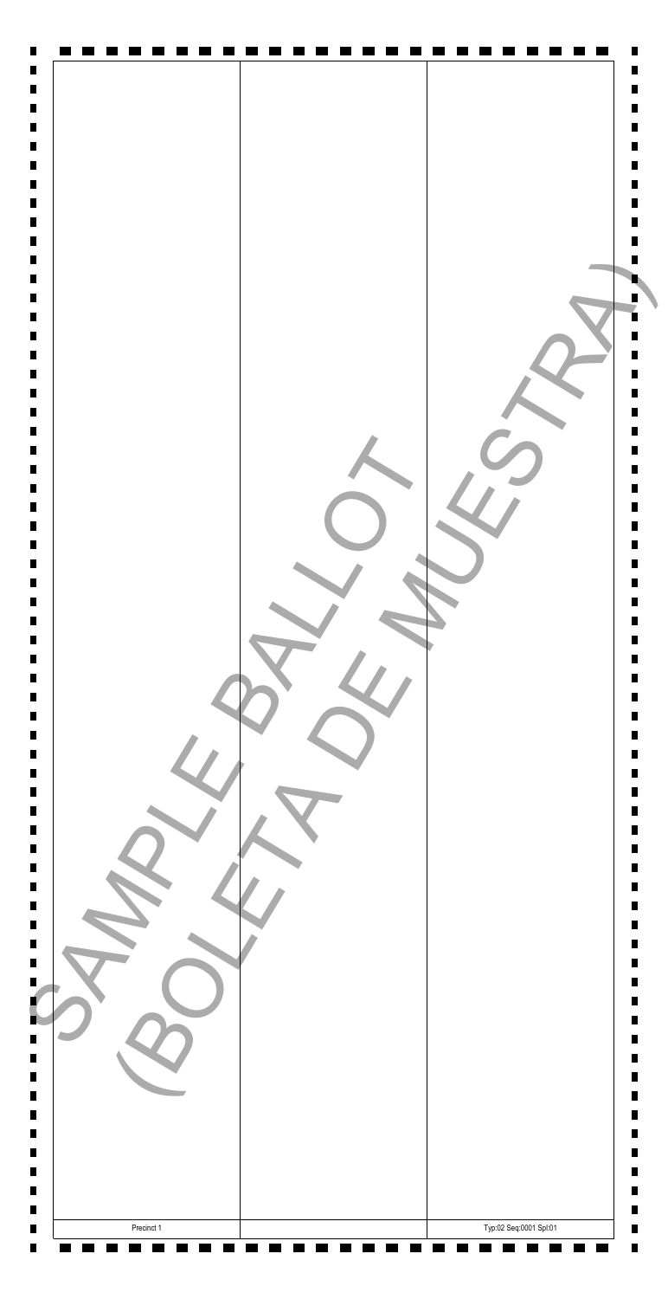|            | Typ:02 Seq:0001 Spl:01 |
|------------|------------------------|
| Precinct 1 |                        |

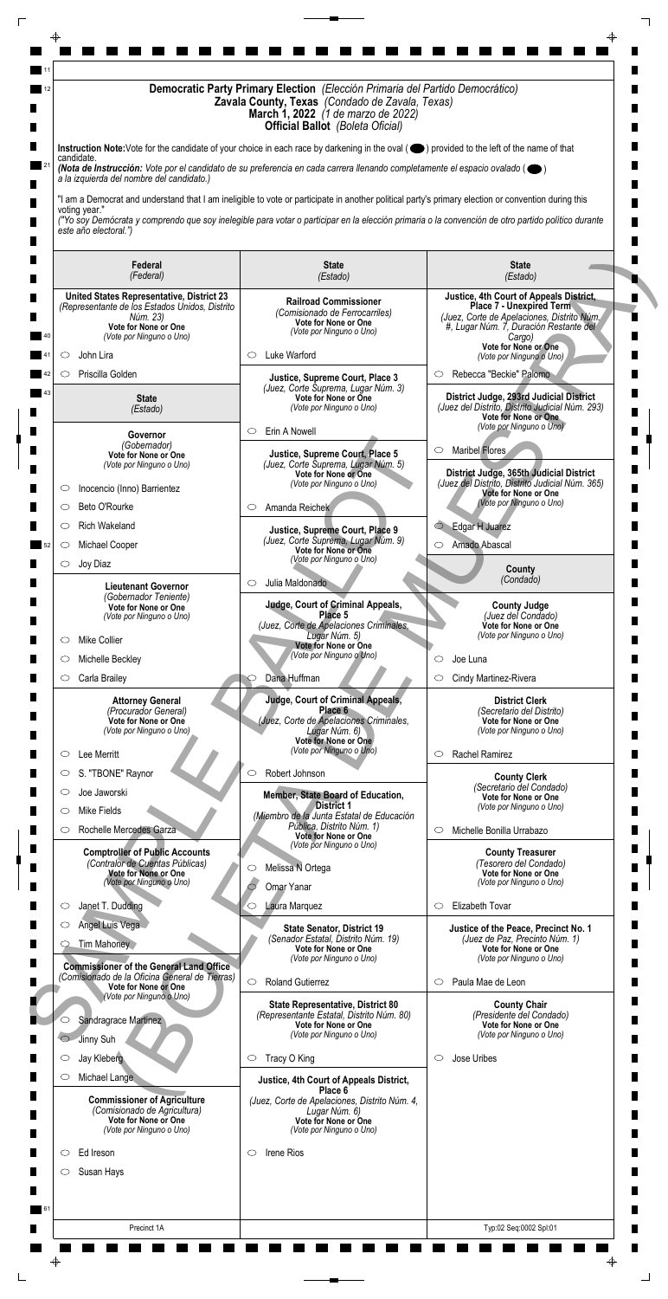| Instruction Note: Vote for the candidate of your choice in each race by darkening in the oval (O) provided to the left of the name of that<br>candidate.<br>(Nota de Instrucción: Vote por el candidato de su preferencia en cada carrera llenando completamente el espacio ovalado ( $\bullet$ )<br>a la izquierda del nombre del candidato.)<br>"I am a Democrat and understand that I am ineligible to vote or participate in another political party's primary election or convention during this<br>voting year."<br>("Yo soy Demócrata y comprendo que soy inelegible para votar o participar en la elección primaria o la convención de otro partido político durante<br>este año electoral.")<br><b>State</b><br><b>State</b><br>Federal<br>(Federal)<br>(Estado)<br>(Estado)<br>Justice, 4th Court of Appeals District,<br><b>United States Representative, District 23</b><br><b>Railroad Commissioner</b><br><b>Place 7 - Unexpired Term</b><br>(Representante de los Estados Unidos, Distrito<br>(Comisionado de Ferrocarriles)<br>(Juez, Corte de Apelaciones, Distrito Núm.<br>Núm. 23)<br>Vote for None or One<br>Vote for None or One<br>#, Lugar Núm. 7, Duración Restante del<br>(Vote por Ninguno o Uno)<br>(Vote por Ninguno o Uno)<br>Cargo)<br>Vote for None or One<br>Luke Warford<br>John Lira<br>O<br>O<br>(Vote por Ninguno o Uno)<br>Priscilla Golden<br>Rebecca "Beckie" Palomo<br>$\circ$<br>O<br>Justice, Supreme Court, Place 3<br>(Juez, Corte Suprema, Lugar Núm. 3)<br>District Judge, 293rd Judicial District<br>Vote for None or One<br><b>State</b><br>(Juez del Distrito, Distrito Judicial Núm. 293)<br>(Vote por Ninguno o Uno)<br>(Estado)<br><b>Vote for None or One</b><br>(Vote por Ninguno o Uno)<br>Erin A Nowell<br>$\circ$<br>Governor<br>(Gobernador)<br>Maribel Flores<br>O<br>Justice, Supreme Court, Place 5<br>Vote for None or One<br>(Juez, Corte Suprema, Lugar Núm. 5)<br>(Vote por Ninguno o Uno)<br>District Judge, 365th Judicial District<br>Vote for None or One<br>(Juez del Distrito, Distrito Judicial Núm. 365)<br>(Vote por Ninguno o Uno)<br>Inocencio (Inno) Barrientez<br>O<br><b>Vote for None or One</b><br>(Vote por Ninguno o Uno)<br>Amanda Reichek<br>Beto O'Rourke<br>$\circ$<br>$\circ$<br>Edgar H Juarez<br><b>Rich Wakeland</b><br>$\bigcirc$<br>O<br>Justice, Supreme Court, Place 9<br>(Juez, Corte Suprema, Lugar Núm. 9)<br>Amado Abascal<br>Michael Cooper<br>$\circ$<br>$\circ$<br>Vote for None or One<br>(Vote por Ninguno o Uno)<br>Joy Diaz<br>$\circlearrowright$<br>County<br>(Condado)<br>Julia Maldonado<br>$\circ$<br><b>Lieutenant Governor</b><br>(Gobernador Teniente)<br><b>Judge, Court of Criminal Appeals,</b><br><b>County Judge</b><br>Vote for None or One<br>Place 5<br>(Juez del Condado)<br>(Vote por Ninguno o Uno)<br>(Juez, Corte de Apelaciones Criminales,<br>Vote for None or One<br>(Vote por Ninguno o Uno)<br>Lugar Núm. 5)<br><b>Mike Collier</b><br>$\circ$<br>Vote for None or One<br>(Vote por Ninguno o Uno)<br>Michelle Beckley<br>Joe Luna<br>◯<br>Dana Huffman<br>Carla Brailey<br>Cindy Martinez-Rivera<br>$\circ$<br>O<br>Judge, Court of Criminal Appeals,<br><b>Attorney General</b><br><b>District Clerk</b><br>Place 6<br>(Procurador General)<br>(Secretario del Distrito)<br>(Juez, Corte de Apelaciones Criminales,<br>Vote for None or One<br>Vote for None or One<br>(Vote por Ninguno o Uno)<br>Lugar Núm. 6)<br>(Vote por Ninguno o Uno)<br>Vote for None or One<br>(Vote por Ninguno o Uno)<br>Rachel Ramirez<br>Lee Merritt<br>$\circ$<br>$\circ$<br>S. "TBONE" Raynor<br>Robert Johnson<br>$\circlearrowright$<br>$\circ$<br><b>County Clerk</b><br>(Secretario del Condado)<br>Joe Jaworski<br>$\circ$<br>Member, State Board of Education,<br><b>Vote for None or One</b><br><b>District 1</b><br>(Vote por Ninguno o Uno)<br>Mike Fields<br>O<br>(Miembro de la Junta Estatal de Educación<br>Pública, Distrito Núm. 1)<br>Rochelle Mercedes Garza<br>Michelle Bonilla Urrabazo<br>O<br>$\circ$<br>Vote for None or One<br>(Vote por Ninguno o Uno)<br><b>Comptroller of Public Accounts</b><br><b>County Treasurer</b><br>(Contralor de Cuentas Públicas)<br>(Tesorero del Condado)<br>Melissa N Ortega<br>$\circ$<br>Vote for None or One<br>Vote for None or One<br>(Vote por Ninguno o Uno)<br>(Vote por Ninguno o Uno)<br>Omar Yanar<br>Elizabeth Tovar<br>Laura Marquez<br>Janet T. Dudding<br>$\circ$<br>$\circ$<br>O<br>Angel Luis Vega<br>Justice of the Peace, Precinct No. 1<br><b>State Senator, District 19</b><br>(Senador Estatal, Distrito Núm. 19)<br>(Juez de Paz, Precinto Núm. 1)<br>Tim Mahoney<br>Vote for None or One<br>Vote for None or One<br>(Vote por Ninguno o Uno)<br>(Vote por Ninguno o Uno)<br><b>Commissioner of the General Land Office</b><br>(Comisionado de la Oficina General de Tierras)<br>$\circ$<br><b>Roland Gutierrez</b><br>Paula Mae de Leon<br>$\circ$<br>Vote for None or One<br>(Vote por Ninguno o Uno)<br><b>County Chair</b><br><b>State Representative, District 80</b><br>(Representante Estatal, Distrito Núm. 80)<br>(Presidente del Condado)<br>Sandragrace Martinez<br>○<br>Vote for None or One<br>Vote for None or One<br>(Vote por Ninguno o Uno)<br>(Vote por Ninguno o Uno)<br>Jinny Suh<br>$\circ$<br>$\circ$<br>O |   | Democratic Party Primary Election (Elección Primaria del Partido Democrático)<br>Zavala County, Texas (Condado de Zavala, Texas)<br><b>March 1, 2022</b> (1 de marzo de 2022)<br><b>Official Ballot</b> (Boleta Oficial) |                                         |             |  |  |
|-------------------------------------------------------------------------------------------------------------------------------------------------------------------------------------------------------------------------------------------------------------------------------------------------------------------------------------------------------------------------------------------------------------------------------------------------------------------------------------------------------------------------------------------------------------------------------------------------------------------------------------------------------------------------------------------------------------------------------------------------------------------------------------------------------------------------------------------------------------------------------------------------------------------------------------------------------------------------------------------------------------------------------------------------------------------------------------------------------------------------------------------------------------------------------------------------------------------------------------------------------------------------------------------------------------------------------------------------------------------------------------------------------------------------------------------------------------------------------------------------------------------------------------------------------------------------------------------------------------------------------------------------------------------------------------------------------------------------------------------------------------------------------------------------------------------------------------------------------------------------------------------------------------------------------------------------------------------------------------------------------------------------------------------------------------------------------------------------------------------------------------------------------------------------------------------------------------------------------------------------------------------------------------------------------------------------------------------------------------------------------------------------------------------------------------------------------------------------------------------------------------------------------------------------------------------------------------------------------------------------------------------------------------------------------------------------------------------------------------------------------------------------------------------------------------------------------------------------------------------------------------------------------------------------------------------------------------------------------------------------------------------------------------------------------------------------------------------------------------------------------------------------------------------------------------------------------------------------------------------------------------------------------------------------------------------------------------------------------------------------------------------------------------------------------------------------------------------------------------------------------------------------------------------------------------------------------------------------------------------------------------------------------------------------------------------------------------------------------------------------------------------------------------------------------------------------------------------------------------------------------------------------------------------------------------------------------------------------------------------------------------------------------------------------------------------------------------------------------------------------------------------------------------------------------------------------------------------------------------------------------------------------------------------------------------------------------------------------------------------------------------------------------------------------------------------------------------------------------------------------------------------------------------------------------------------------------------------------------------------------------------------------------------------------------------------------------------------------------------------------------------------------------------------------------------------------------------------------------------------------------------------------------------------------------------------------------------------------------------------------------------------------------------------------------------------------------------------------------------------------------------------------------------------------------------------------------------------------------------------------------------------------------------------------------------------------------------|---|--------------------------------------------------------------------------------------------------------------------------------------------------------------------------------------------------------------------------|-----------------------------------------|-------------|--|--|
|                                                                                                                                                                                                                                                                                                                                                                                                                                                                                                                                                                                                                                                                                                                                                                                                                                                                                                                                                                                                                                                                                                                                                                                                                                                                                                                                                                                                                                                                                                                                                                                                                                                                                                                                                                                                                                                                                                                                                                                                                                                                                                                                                                                                                                                                                                                                                                                                                                                                                                                                                                                                                                                                                                                                                                                                                                                                                                                                                                                                                                                                                                                                                                                                                                                                                                                                                                                                                                                                                                                                                                                                                                                                                                                                                                                                                                                                                                                                                                                                                                                                                                                                                                                                                                                                                                                                                                                                                                                                                                                                                                                                                                                                                                                                                                                                                                                                                                                                                                                                                                                                                                                                                                                                                                                                                                                                     |   |                                                                                                                                                                                                                          |                                         |             |  |  |
|                                                                                                                                                                                                                                                                                                                                                                                                                                                                                                                                                                                                                                                                                                                                                                                                                                                                                                                                                                                                                                                                                                                                                                                                                                                                                                                                                                                                                                                                                                                                                                                                                                                                                                                                                                                                                                                                                                                                                                                                                                                                                                                                                                                                                                                                                                                                                                                                                                                                                                                                                                                                                                                                                                                                                                                                                                                                                                                                                                                                                                                                                                                                                                                                                                                                                                                                                                                                                                                                                                                                                                                                                                                                                                                                                                                                                                                                                                                                                                                                                                                                                                                                                                                                                                                                                                                                                                                                                                                                                                                                                                                                                                                                                                                                                                                                                                                                                                                                                                                                                                                                                                                                                                                                                                                                                                                                     |   |                                                                                                                                                                                                                          |                                         |             |  |  |
|                                                                                                                                                                                                                                                                                                                                                                                                                                                                                                                                                                                                                                                                                                                                                                                                                                                                                                                                                                                                                                                                                                                                                                                                                                                                                                                                                                                                                                                                                                                                                                                                                                                                                                                                                                                                                                                                                                                                                                                                                                                                                                                                                                                                                                                                                                                                                                                                                                                                                                                                                                                                                                                                                                                                                                                                                                                                                                                                                                                                                                                                                                                                                                                                                                                                                                                                                                                                                                                                                                                                                                                                                                                                                                                                                                                                                                                                                                                                                                                                                                                                                                                                                                                                                                                                                                                                                                                                                                                                                                                                                                                                                                                                                                                                                                                                                                                                                                                                                                                                                                                                                                                                                                                                                                                                                                                                     |   |                                                                                                                                                                                                                          |                                         |             |  |  |
|                                                                                                                                                                                                                                                                                                                                                                                                                                                                                                                                                                                                                                                                                                                                                                                                                                                                                                                                                                                                                                                                                                                                                                                                                                                                                                                                                                                                                                                                                                                                                                                                                                                                                                                                                                                                                                                                                                                                                                                                                                                                                                                                                                                                                                                                                                                                                                                                                                                                                                                                                                                                                                                                                                                                                                                                                                                                                                                                                                                                                                                                                                                                                                                                                                                                                                                                                                                                                                                                                                                                                                                                                                                                                                                                                                                                                                                                                                                                                                                                                                                                                                                                                                                                                                                                                                                                                                                                                                                                                                                                                                                                                                                                                                                                                                                                                                                                                                                                                                                                                                                                                                                                                                                                                                                                                                                                     |   |                                                                                                                                                                                                                          |                                         |             |  |  |
|                                                                                                                                                                                                                                                                                                                                                                                                                                                                                                                                                                                                                                                                                                                                                                                                                                                                                                                                                                                                                                                                                                                                                                                                                                                                                                                                                                                                                                                                                                                                                                                                                                                                                                                                                                                                                                                                                                                                                                                                                                                                                                                                                                                                                                                                                                                                                                                                                                                                                                                                                                                                                                                                                                                                                                                                                                                                                                                                                                                                                                                                                                                                                                                                                                                                                                                                                                                                                                                                                                                                                                                                                                                                                                                                                                                                                                                                                                                                                                                                                                                                                                                                                                                                                                                                                                                                                                                                                                                                                                                                                                                                                                                                                                                                                                                                                                                                                                                                                                                                                                                                                                                                                                                                                                                                                                                                     |   |                                                                                                                                                                                                                          |                                         |             |  |  |
|                                                                                                                                                                                                                                                                                                                                                                                                                                                                                                                                                                                                                                                                                                                                                                                                                                                                                                                                                                                                                                                                                                                                                                                                                                                                                                                                                                                                                                                                                                                                                                                                                                                                                                                                                                                                                                                                                                                                                                                                                                                                                                                                                                                                                                                                                                                                                                                                                                                                                                                                                                                                                                                                                                                                                                                                                                                                                                                                                                                                                                                                                                                                                                                                                                                                                                                                                                                                                                                                                                                                                                                                                                                                                                                                                                                                                                                                                                                                                                                                                                                                                                                                                                                                                                                                                                                                                                                                                                                                                                                                                                                                                                                                                                                                                                                                                                                                                                                                                                                                                                                                                                                                                                                                                                                                                                                                     |   |                                                                                                                                                                                                                          |                                         |             |  |  |
|                                                                                                                                                                                                                                                                                                                                                                                                                                                                                                                                                                                                                                                                                                                                                                                                                                                                                                                                                                                                                                                                                                                                                                                                                                                                                                                                                                                                                                                                                                                                                                                                                                                                                                                                                                                                                                                                                                                                                                                                                                                                                                                                                                                                                                                                                                                                                                                                                                                                                                                                                                                                                                                                                                                                                                                                                                                                                                                                                                                                                                                                                                                                                                                                                                                                                                                                                                                                                                                                                                                                                                                                                                                                                                                                                                                                                                                                                                                                                                                                                                                                                                                                                                                                                                                                                                                                                                                                                                                                                                                                                                                                                                                                                                                                                                                                                                                                                                                                                                                                                                                                                                                                                                                                                                                                                                                                     |   |                                                                                                                                                                                                                          |                                         |             |  |  |
|                                                                                                                                                                                                                                                                                                                                                                                                                                                                                                                                                                                                                                                                                                                                                                                                                                                                                                                                                                                                                                                                                                                                                                                                                                                                                                                                                                                                                                                                                                                                                                                                                                                                                                                                                                                                                                                                                                                                                                                                                                                                                                                                                                                                                                                                                                                                                                                                                                                                                                                                                                                                                                                                                                                                                                                                                                                                                                                                                                                                                                                                                                                                                                                                                                                                                                                                                                                                                                                                                                                                                                                                                                                                                                                                                                                                                                                                                                                                                                                                                                                                                                                                                                                                                                                                                                                                                                                                                                                                                                                                                                                                                                                                                                                                                                                                                                                                                                                                                                                                                                                                                                                                                                                                                                                                                                                                     |   |                                                                                                                                                                                                                          |                                         |             |  |  |
|                                                                                                                                                                                                                                                                                                                                                                                                                                                                                                                                                                                                                                                                                                                                                                                                                                                                                                                                                                                                                                                                                                                                                                                                                                                                                                                                                                                                                                                                                                                                                                                                                                                                                                                                                                                                                                                                                                                                                                                                                                                                                                                                                                                                                                                                                                                                                                                                                                                                                                                                                                                                                                                                                                                                                                                                                                                                                                                                                                                                                                                                                                                                                                                                                                                                                                                                                                                                                                                                                                                                                                                                                                                                                                                                                                                                                                                                                                                                                                                                                                                                                                                                                                                                                                                                                                                                                                                                                                                                                                                                                                                                                                                                                                                                                                                                                                                                                                                                                                                                                                                                                                                                                                                                                                                                                                                                     |   |                                                                                                                                                                                                                          |                                         |             |  |  |
|                                                                                                                                                                                                                                                                                                                                                                                                                                                                                                                                                                                                                                                                                                                                                                                                                                                                                                                                                                                                                                                                                                                                                                                                                                                                                                                                                                                                                                                                                                                                                                                                                                                                                                                                                                                                                                                                                                                                                                                                                                                                                                                                                                                                                                                                                                                                                                                                                                                                                                                                                                                                                                                                                                                                                                                                                                                                                                                                                                                                                                                                                                                                                                                                                                                                                                                                                                                                                                                                                                                                                                                                                                                                                                                                                                                                                                                                                                                                                                                                                                                                                                                                                                                                                                                                                                                                                                                                                                                                                                                                                                                                                                                                                                                                                                                                                                                                                                                                                                                                                                                                                                                                                                                                                                                                                                                                     |   |                                                                                                                                                                                                                          |                                         |             |  |  |
|                                                                                                                                                                                                                                                                                                                                                                                                                                                                                                                                                                                                                                                                                                                                                                                                                                                                                                                                                                                                                                                                                                                                                                                                                                                                                                                                                                                                                                                                                                                                                                                                                                                                                                                                                                                                                                                                                                                                                                                                                                                                                                                                                                                                                                                                                                                                                                                                                                                                                                                                                                                                                                                                                                                                                                                                                                                                                                                                                                                                                                                                                                                                                                                                                                                                                                                                                                                                                                                                                                                                                                                                                                                                                                                                                                                                                                                                                                                                                                                                                                                                                                                                                                                                                                                                                                                                                                                                                                                                                                                                                                                                                                                                                                                                                                                                                                                                                                                                                                                                                                                                                                                                                                                                                                                                                                                                     |   |                                                                                                                                                                                                                          |                                         |             |  |  |
|                                                                                                                                                                                                                                                                                                                                                                                                                                                                                                                                                                                                                                                                                                                                                                                                                                                                                                                                                                                                                                                                                                                                                                                                                                                                                                                                                                                                                                                                                                                                                                                                                                                                                                                                                                                                                                                                                                                                                                                                                                                                                                                                                                                                                                                                                                                                                                                                                                                                                                                                                                                                                                                                                                                                                                                                                                                                                                                                                                                                                                                                                                                                                                                                                                                                                                                                                                                                                                                                                                                                                                                                                                                                                                                                                                                                                                                                                                                                                                                                                                                                                                                                                                                                                                                                                                                                                                                                                                                                                                                                                                                                                                                                                                                                                                                                                                                                                                                                                                                                                                                                                                                                                                                                                                                                                                                                     |   |                                                                                                                                                                                                                          |                                         |             |  |  |
|                                                                                                                                                                                                                                                                                                                                                                                                                                                                                                                                                                                                                                                                                                                                                                                                                                                                                                                                                                                                                                                                                                                                                                                                                                                                                                                                                                                                                                                                                                                                                                                                                                                                                                                                                                                                                                                                                                                                                                                                                                                                                                                                                                                                                                                                                                                                                                                                                                                                                                                                                                                                                                                                                                                                                                                                                                                                                                                                                                                                                                                                                                                                                                                                                                                                                                                                                                                                                                                                                                                                                                                                                                                                                                                                                                                                                                                                                                                                                                                                                                                                                                                                                                                                                                                                                                                                                                                                                                                                                                                                                                                                                                                                                                                                                                                                                                                                                                                                                                                                                                                                                                                                                                                                                                                                                                                                     |   |                                                                                                                                                                                                                          |                                         |             |  |  |
|                                                                                                                                                                                                                                                                                                                                                                                                                                                                                                                                                                                                                                                                                                                                                                                                                                                                                                                                                                                                                                                                                                                                                                                                                                                                                                                                                                                                                                                                                                                                                                                                                                                                                                                                                                                                                                                                                                                                                                                                                                                                                                                                                                                                                                                                                                                                                                                                                                                                                                                                                                                                                                                                                                                                                                                                                                                                                                                                                                                                                                                                                                                                                                                                                                                                                                                                                                                                                                                                                                                                                                                                                                                                                                                                                                                                                                                                                                                                                                                                                                                                                                                                                                                                                                                                                                                                                                                                                                                                                                                                                                                                                                                                                                                                                                                                                                                                                                                                                                                                                                                                                                                                                                                                                                                                                                                                     |   |                                                                                                                                                                                                                          |                                         |             |  |  |
|                                                                                                                                                                                                                                                                                                                                                                                                                                                                                                                                                                                                                                                                                                                                                                                                                                                                                                                                                                                                                                                                                                                                                                                                                                                                                                                                                                                                                                                                                                                                                                                                                                                                                                                                                                                                                                                                                                                                                                                                                                                                                                                                                                                                                                                                                                                                                                                                                                                                                                                                                                                                                                                                                                                                                                                                                                                                                                                                                                                                                                                                                                                                                                                                                                                                                                                                                                                                                                                                                                                                                                                                                                                                                                                                                                                                                                                                                                                                                                                                                                                                                                                                                                                                                                                                                                                                                                                                                                                                                                                                                                                                                                                                                                                                                                                                                                                                                                                                                                                                                                                                                                                                                                                                                                                                                                                                     |   |                                                                                                                                                                                                                          |                                         |             |  |  |
|                                                                                                                                                                                                                                                                                                                                                                                                                                                                                                                                                                                                                                                                                                                                                                                                                                                                                                                                                                                                                                                                                                                                                                                                                                                                                                                                                                                                                                                                                                                                                                                                                                                                                                                                                                                                                                                                                                                                                                                                                                                                                                                                                                                                                                                                                                                                                                                                                                                                                                                                                                                                                                                                                                                                                                                                                                                                                                                                                                                                                                                                                                                                                                                                                                                                                                                                                                                                                                                                                                                                                                                                                                                                                                                                                                                                                                                                                                                                                                                                                                                                                                                                                                                                                                                                                                                                                                                                                                                                                                                                                                                                                                                                                                                                                                                                                                                                                                                                                                                                                                                                                                                                                                                                                                                                                                                                     |   |                                                                                                                                                                                                                          |                                         |             |  |  |
|                                                                                                                                                                                                                                                                                                                                                                                                                                                                                                                                                                                                                                                                                                                                                                                                                                                                                                                                                                                                                                                                                                                                                                                                                                                                                                                                                                                                                                                                                                                                                                                                                                                                                                                                                                                                                                                                                                                                                                                                                                                                                                                                                                                                                                                                                                                                                                                                                                                                                                                                                                                                                                                                                                                                                                                                                                                                                                                                                                                                                                                                                                                                                                                                                                                                                                                                                                                                                                                                                                                                                                                                                                                                                                                                                                                                                                                                                                                                                                                                                                                                                                                                                                                                                                                                                                                                                                                                                                                                                                                                                                                                                                                                                                                                                                                                                                                                                                                                                                                                                                                                                                                                                                                                                                                                                                                                     |   |                                                                                                                                                                                                                          |                                         |             |  |  |
|                                                                                                                                                                                                                                                                                                                                                                                                                                                                                                                                                                                                                                                                                                                                                                                                                                                                                                                                                                                                                                                                                                                                                                                                                                                                                                                                                                                                                                                                                                                                                                                                                                                                                                                                                                                                                                                                                                                                                                                                                                                                                                                                                                                                                                                                                                                                                                                                                                                                                                                                                                                                                                                                                                                                                                                                                                                                                                                                                                                                                                                                                                                                                                                                                                                                                                                                                                                                                                                                                                                                                                                                                                                                                                                                                                                                                                                                                                                                                                                                                                                                                                                                                                                                                                                                                                                                                                                                                                                                                                                                                                                                                                                                                                                                                                                                                                                                                                                                                                                                                                                                                                                                                                                                                                                                                                                                     |   |                                                                                                                                                                                                                          |                                         |             |  |  |
|                                                                                                                                                                                                                                                                                                                                                                                                                                                                                                                                                                                                                                                                                                                                                                                                                                                                                                                                                                                                                                                                                                                                                                                                                                                                                                                                                                                                                                                                                                                                                                                                                                                                                                                                                                                                                                                                                                                                                                                                                                                                                                                                                                                                                                                                                                                                                                                                                                                                                                                                                                                                                                                                                                                                                                                                                                                                                                                                                                                                                                                                                                                                                                                                                                                                                                                                                                                                                                                                                                                                                                                                                                                                                                                                                                                                                                                                                                                                                                                                                                                                                                                                                                                                                                                                                                                                                                                                                                                                                                                                                                                                                                                                                                                                                                                                                                                                                                                                                                                                                                                                                                                                                                                                                                                                                                                                     |   |                                                                                                                                                                                                                          |                                         |             |  |  |
|                                                                                                                                                                                                                                                                                                                                                                                                                                                                                                                                                                                                                                                                                                                                                                                                                                                                                                                                                                                                                                                                                                                                                                                                                                                                                                                                                                                                                                                                                                                                                                                                                                                                                                                                                                                                                                                                                                                                                                                                                                                                                                                                                                                                                                                                                                                                                                                                                                                                                                                                                                                                                                                                                                                                                                                                                                                                                                                                                                                                                                                                                                                                                                                                                                                                                                                                                                                                                                                                                                                                                                                                                                                                                                                                                                                                                                                                                                                                                                                                                                                                                                                                                                                                                                                                                                                                                                                                                                                                                                                                                                                                                                                                                                                                                                                                                                                                                                                                                                                                                                                                                                                                                                                                                                                                                                                                     |   |                                                                                                                                                                                                                          |                                         |             |  |  |
|                                                                                                                                                                                                                                                                                                                                                                                                                                                                                                                                                                                                                                                                                                                                                                                                                                                                                                                                                                                                                                                                                                                                                                                                                                                                                                                                                                                                                                                                                                                                                                                                                                                                                                                                                                                                                                                                                                                                                                                                                                                                                                                                                                                                                                                                                                                                                                                                                                                                                                                                                                                                                                                                                                                                                                                                                                                                                                                                                                                                                                                                                                                                                                                                                                                                                                                                                                                                                                                                                                                                                                                                                                                                                                                                                                                                                                                                                                                                                                                                                                                                                                                                                                                                                                                                                                                                                                                                                                                                                                                                                                                                                                                                                                                                                                                                                                                                                                                                                                                                                                                                                                                                                                                                                                                                                                                                     |   |                                                                                                                                                                                                                          |                                         |             |  |  |
|                                                                                                                                                                                                                                                                                                                                                                                                                                                                                                                                                                                                                                                                                                                                                                                                                                                                                                                                                                                                                                                                                                                                                                                                                                                                                                                                                                                                                                                                                                                                                                                                                                                                                                                                                                                                                                                                                                                                                                                                                                                                                                                                                                                                                                                                                                                                                                                                                                                                                                                                                                                                                                                                                                                                                                                                                                                                                                                                                                                                                                                                                                                                                                                                                                                                                                                                                                                                                                                                                                                                                                                                                                                                                                                                                                                                                                                                                                                                                                                                                                                                                                                                                                                                                                                                                                                                                                                                                                                                                                                                                                                                                                                                                                                                                                                                                                                                                                                                                                                                                                                                                                                                                                                                                                                                                                                                     |   |                                                                                                                                                                                                                          |                                         |             |  |  |
|                                                                                                                                                                                                                                                                                                                                                                                                                                                                                                                                                                                                                                                                                                                                                                                                                                                                                                                                                                                                                                                                                                                                                                                                                                                                                                                                                                                                                                                                                                                                                                                                                                                                                                                                                                                                                                                                                                                                                                                                                                                                                                                                                                                                                                                                                                                                                                                                                                                                                                                                                                                                                                                                                                                                                                                                                                                                                                                                                                                                                                                                                                                                                                                                                                                                                                                                                                                                                                                                                                                                                                                                                                                                                                                                                                                                                                                                                                                                                                                                                                                                                                                                                                                                                                                                                                                                                                                                                                                                                                                                                                                                                                                                                                                                                                                                                                                                                                                                                                                                                                                                                                                                                                                                                                                                                                                                     |   |                                                                                                                                                                                                                          |                                         |             |  |  |
|                                                                                                                                                                                                                                                                                                                                                                                                                                                                                                                                                                                                                                                                                                                                                                                                                                                                                                                                                                                                                                                                                                                                                                                                                                                                                                                                                                                                                                                                                                                                                                                                                                                                                                                                                                                                                                                                                                                                                                                                                                                                                                                                                                                                                                                                                                                                                                                                                                                                                                                                                                                                                                                                                                                                                                                                                                                                                                                                                                                                                                                                                                                                                                                                                                                                                                                                                                                                                                                                                                                                                                                                                                                                                                                                                                                                                                                                                                                                                                                                                                                                                                                                                                                                                                                                                                                                                                                                                                                                                                                                                                                                                                                                                                                                                                                                                                                                                                                                                                                                                                                                                                                                                                                                                                                                                                                                     |   |                                                                                                                                                                                                                          |                                         |             |  |  |
|                                                                                                                                                                                                                                                                                                                                                                                                                                                                                                                                                                                                                                                                                                                                                                                                                                                                                                                                                                                                                                                                                                                                                                                                                                                                                                                                                                                                                                                                                                                                                                                                                                                                                                                                                                                                                                                                                                                                                                                                                                                                                                                                                                                                                                                                                                                                                                                                                                                                                                                                                                                                                                                                                                                                                                                                                                                                                                                                                                                                                                                                                                                                                                                                                                                                                                                                                                                                                                                                                                                                                                                                                                                                                                                                                                                                                                                                                                                                                                                                                                                                                                                                                                                                                                                                                                                                                                                                                                                                                                                                                                                                                                                                                                                                                                                                                                                                                                                                                                                                                                                                                                                                                                                                                                                                                                                                     |   |                                                                                                                                                                                                                          |                                         |             |  |  |
|                                                                                                                                                                                                                                                                                                                                                                                                                                                                                                                                                                                                                                                                                                                                                                                                                                                                                                                                                                                                                                                                                                                                                                                                                                                                                                                                                                                                                                                                                                                                                                                                                                                                                                                                                                                                                                                                                                                                                                                                                                                                                                                                                                                                                                                                                                                                                                                                                                                                                                                                                                                                                                                                                                                                                                                                                                                                                                                                                                                                                                                                                                                                                                                                                                                                                                                                                                                                                                                                                                                                                                                                                                                                                                                                                                                                                                                                                                                                                                                                                                                                                                                                                                                                                                                                                                                                                                                                                                                                                                                                                                                                                                                                                                                                                                                                                                                                                                                                                                                                                                                                                                                                                                                                                                                                                                                                     |   |                                                                                                                                                                                                                          |                                         |             |  |  |
|                                                                                                                                                                                                                                                                                                                                                                                                                                                                                                                                                                                                                                                                                                                                                                                                                                                                                                                                                                                                                                                                                                                                                                                                                                                                                                                                                                                                                                                                                                                                                                                                                                                                                                                                                                                                                                                                                                                                                                                                                                                                                                                                                                                                                                                                                                                                                                                                                                                                                                                                                                                                                                                                                                                                                                                                                                                                                                                                                                                                                                                                                                                                                                                                                                                                                                                                                                                                                                                                                                                                                                                                                                                                                                                                                                                                                                                                                                                                                                                                                                                                                                                                                                                                                                                                                                                                                                                                                                                                                                                                                                                                                                                                                                                                                                                                                                                                                                                                                                                                                                                                                                                                                                                                                                                                                                                                     |   |                                                                                                                                                                                                                          |                                         |             |  |  |
|                                                                                                                                                                                                                                                                                                                                                                                                                                                                                                                                                                                                                                                                                                                                                                                                                                                                                                                                                                                                                                                                                                                                                                                                                                                                                                                                                                                                                                                                                                                                                                                                                                                                                                                                                                                                                                                                                                                                                                                                                                                                                                                                                                                                                                                                                                                                                                                                                                                                                                                                                                                                                                                                                                                                                                                                                                                                                                                                                                                                                                                                                                                                                                                                                                                                                                                                                                                                                                                                                                                                                                                                                                                                                                                                                                                                                                                                                                                                                                                                                                                                                                                                                                                                                                                                                                                                                                                                                                                                                                                                                                                                                                                                                                                                                                                                                                                                                                                                                                                                                                                                                                                                                                                                                                                                                                                                     |   |                                                                                                                                                                                                                          |                                         |             |  |  |
|                                                                                                                                                                                                                                                                                                                                                                                                                                                                                                                                                                                                                                                                                                                                                                                                                                                                                                                                                                                                                                                                                                                                                                                                                                                                                                                                                                                                                                                                                                                                                                                                                                                                                                                                                                                                                                                                                                                                                                                                                                                                                                                                                                                                                                                                                                                                                                                                                                                                                                                                                                                                                                                                                                                                                                                                                                                                                                                                                                                                                                                                                                                                                                                                                                                                                                                                                                                                                                                                                                                                                                                                                                                                                                                                                                                                                                                                                                                                                                                                                                                                                                                                                                                                                                                                                                                                                                                                                                                                                                                                                                                                                                                                                                                                                                                                                                                                                                                                                                                                                                                                                                                                                                                                                                                                                                                                     |   |                                                                                                                                                                                                                          |                                         |             |  |  |
|                                                                                                                                                                                                                                                                                                                                                                                                                                                                                                                                                                                                                                                                                                                                                                                                                                                                                                                                                                                                                                                                                                                                                                                                                                                                                                                                                                                                                                                                                                                                                                                                                                                                                                                                                                                                                                                                                                                                                                                                                                                                                                                                                                                                                                                                                                                                                                                                                                                                                                                                                                                                                                                                                                                                                                                                                                                                                                                                                                                                                                                                                                                                                                                                                                                                                                                                                                                                                                                                                                                                                                                                                                                                                                                                                                                                                                                                                                                                                                                                                                                                                                                                                                                                                                                                                                                                                                                                                                                                                                                                                                                                                                                                                                                                                                                                                                                                                                                                                                                                                                                                                                                                                                                                                                                                                                                                     |   |                                                                                                                                                                                                                          |                                         |             |  |  |
|                                                                                                                                                                                                                                                                                                                                                                                                                                                                                                                                                                                                                                                                                                                                                                                                                                                                                                                                                                                                                                                                                                                                                                                                                                                                                                                                                                                                                                                                                                                                                                                                                                                                                                                                                                                                                                                                                                                                                                                                                                                                                                                                                                                                                                                                                                                                                                                                                                                                                                                                                                                                                                                                                                                                                                                                                                                                                                                                                                                                                                                                                                                                                                                                                                                                                                                                                                                                                                                                                                                                                                                                                                                                                                                                                                                                                                                                                                                                                                                                                                                                                                                                                                                                                                                                                                                                                                                                                                                                                                                                                                                                                                                                                                                                                                                                                                                                                                                                                                                                                                                                                                                                                                                                                                                                                                                                     |   |                                                                                                                                                                                                                          |                                         |             |  |  |
|                                                                                                                                                                                                                                                                                                                                                                                                                                                                                                                                                                                                                                                                                                                                                                                                                                                                                                                                                                                                                                                                                                                                                                                                                                                                                                                                                                                                                                                                                                                                                                                                                                                                                                                                                                                                                                                                                                                                                                                                                                                                                                                                                                                                                                                                                                                                                                                                                                                                                                                                                                                                                                                                                                                                                                                                                                                                                                                                                                                                                                                                                                                                                                                                                                                                                                                                                                                                                                                                                                                                                                                                                                                                                                                                                                                                                                                                                                                                                                                                                                                                                                                                                                                                                                                                                                                                                                                                                                                                                                                                                                                                                                                                                                                                                                                                                                                                                                                                                                                                                                                                                                                                                                                                                                                                                                                                     |   |                                                                                                                                                                                                                          |                                         |             |  |  |
|                                                                                                                                                                                                                                                                                                                                                                                                                                                                                                                                                                                                                                                                                                                                                                                                                                                                                                                                                                                                                                                                                                                                                                                                                                                                                                                                                                                                                                                                                                                                                                                                                                                                                                                                                                                                                                                                                                                                                                                                                                                                                                                                                                                                                                                                                                                                                                                                                                                                                                                                                                                                                                                                                                                                                                                                                                                                                                                                                                                                                                                                                                                                                                                                                                                                                                                                                                                                                                                                                                                                                                                                                                                                                                                                                                                                                                                                                                                                                                                                                                                                                                                                                                                                                                                                                                                                                                                                                                                                                                                                                                                                                                                                                                                                                                                                                                                                                                                                                                                                                                                                                                                                                                                                                                                                                                                                     |   |                                                                                                                                                                                                                          |                                         |             |  |  |
|                                                                                                                                                                                                                                                                                                                                                                                                                                                                                                                                                                                                                                                                                                                                                                                                                                                                                                                                                                                                                                                                                                                                                                                                                                                                                                                                                                                                                                                                                                                                                                                                                                                                                                                                                                                                                                                                                                                                                                                                                                                                                                                                                                                                                                                                                                                                                                                                                                                                                                                                                                                                                                                                                                                                                                                                                                                                                                                                                                                                                                                                                                                                                                                                                                                                                                                                                                                                                                                                                                                                                                                                                                                                                                                                                                                                                                                                                                                                                                                                                                                                                                                                                                                                                                                                                                                                                                                                                                                                                                                                                                                                                                                                                                                                                                                                                                                                                                                                                                                                                                                                                                                                                                                                                                                                                                                                     |   | Jay Kleberg                                                                                                                                                                                                              | Tracy O King<br>$\circ$                 | Jose Uribes |  |  |
|                                                                                                                                                                                                                                                                                                                                                                                                                                                                                                                                                                                                                                                                                                                                                                                                                                                                                                                                                                                                                                                                                                                                                                                                                                                                                                                                                                                                                                                                                                                                                                                                                                                                                                                                                                                                                                                                                                                                                                                                                                                                                                                                                                                                                                                                                                                                                                                                                                                                                                                                                                                                                                                                                                                                                                                                                                                                                                                                                                                                                                                                                                                                                                                                                                                                                                                                                                                                                                                                                                                                                                                                                                                                                                                                                                                                                                                                                                                                                                                                                                                                                                                                                                                                                                                                                                                                                                                                                                                                                                                                                                                                                                                                                                                                                                                                                                                                                                                                                                                                                                                                                                                                                                                                                                                                                                                                     | C | Michael Lange                                                                                                                                                                                                            | Justice, 4th Court of Appeals District, |             |  |  |

| <b>Tim Mahoney</b><br><b>Commissioner of the General Land Office</b>                                                                                | <b>State Senator, District 19</b><br>(Senador Estatal, Distrito Núm. 19)<br>Vote for None or One<br>(Vote por Ninguno o Uno)                                                    | Justice of the Peace, Precinct No. 1<br>(Juez de Paz, Precinto Núm. 1)<br>Vote for None or One<br>(Vote por Ninguno o Uno)          |
|-----------------------------------------------------------------------------------------------------------------------------------------------------|---------------------------------------------------------------------------------------------------------------------------------------------------------------------------------|-------------------------------------------------------------------------------------------------------------------------------------|
| (Comisionado de la Oficina General de Tierras)<br><b>Vote for None or One</b><br>(Vote por Ninguno o Uno)<br>Sandragrace Martinez<br>D<br>Jinny Suh | $\circ$<br><b>Roland Gutierrez</b><br><b>State Representative, District 80</b><br>(Representante Estatal, Distrito Núm. 80)<br>Vote for None or One<br>(Vote por Ninguno o Uno) | Paula Mae de Leon<br>$\circ$<br><b>County Chair</b><br>(Presidente del Condado)<br>Vote for None or One<br>(Vote por Ninguno o Uno) |
| Jay Kleberg<br>$\circ$<br>Michael Lange<br>$\circ$                                                                                                  | Tracy O King<br>$\circ$<br>Justice, 4th Court of Appeals District,                                                                                                              | Jose Uribes<br>$\circlearrowright$                                                                                                  |
| <b>Commissioner of Agriculture</b><br>(Comisionado de Agricultura)<br><b>Vote for None or One</b><br>(Vote por Ninguno o Uno)                       | Place 6<br>(Juez, Corte de Apelaciones, Distrito Núm. 4,<br>Lugar Núm. 6)<br>Vote for None or One<br>(Vote por Ninguno o Uno)                                                   |                                                                                                                                     |
| Ed Ireson<br>O                                                                                                                                      | Irene Rios<br>$\circ$                                                                                                                                                           |                                                                                                                                     |
| Susan Hays<br>$\circ$                                                                                                                               |                                                                                                                                                                                 |                                                                                                                                     |
| Precinct 1A                                                                                                                                         |                                                                                                                                                                                 | Typ:02 Seq:0002 Spl:01                                                                                                              |

 $\overline{\phantom{0}}$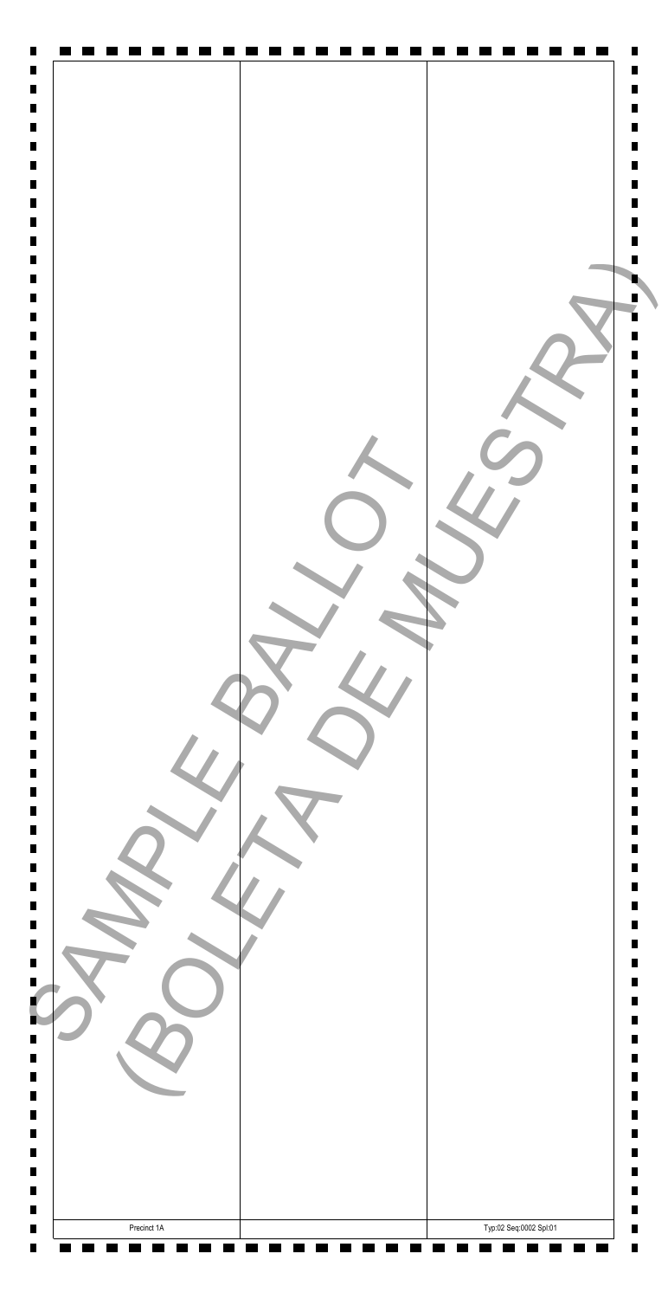| $\blacksquare$ |                        |
|----------------|------------------------|
| Precinct 1A    | Typ:02 Seq:0002 Spl:01 |

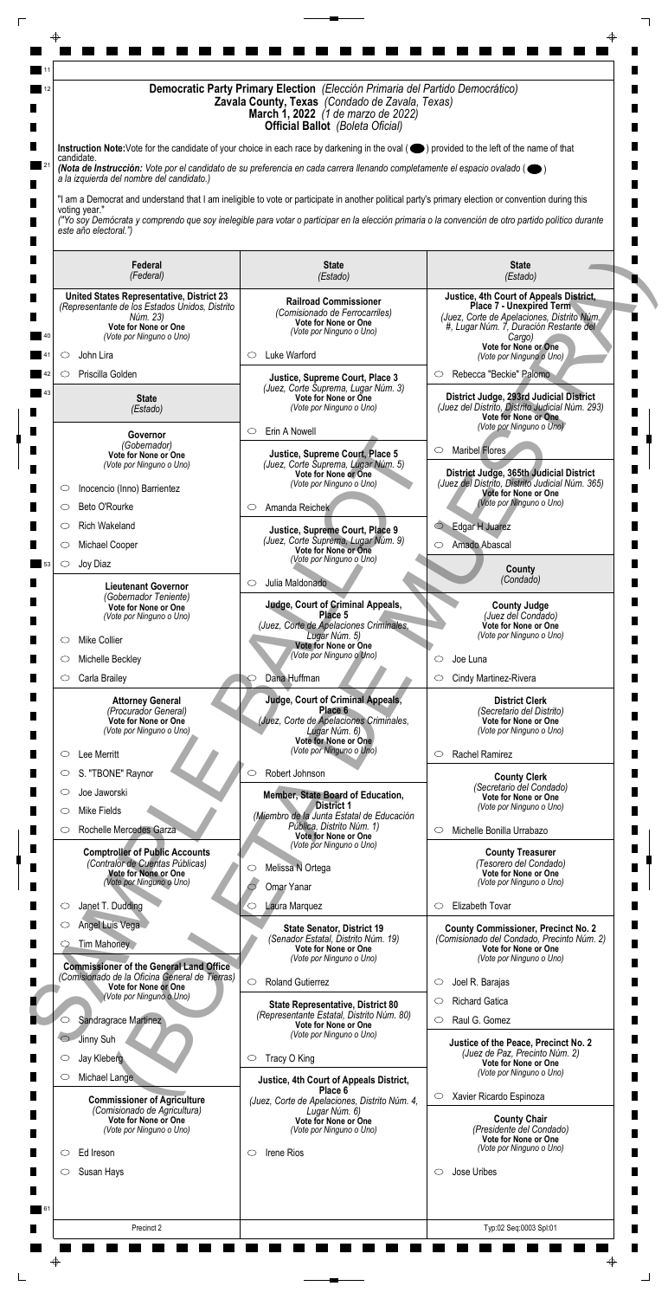| Democratic Party Primary Election (Elección Primaria del Partido Democrático)<br>Zavala County, Texas (Condado de Zavala, Texas)<br><b>March 1, 2022</b> (1 de marzo de 2022)<br><b>Official Ballot</b> (Boleta Oficial) |                                                                                                                                                                                                                                                                                                           |                                                                                                |  |  |
|--------------------------------------------------------------------------------------------------------------------------------------------------------------------------------------------------------------------------|-----------------------------------------------------------------------------------------------------------------------------------------------------------------------------------------------------------------------------------------------------------------------------------------------------------|------------------------------------------------------------------------------------------------|--|--|
| candidate.                                                                                                                                                                                                               | Instruction Note: Vote for the candidate of your choice in each race by darkening in the oval (O) provided to the left of the name of that                                                                                                                                                                |                                                                                                |  |  |
| a la izquierda del nombre del candidato.)                                                                                                                                                                                | (Nota de Instrucción: Vote por el candidato de su preferencia en cada carrera llenando completamente el espacio ovalado ( $\bullet$ )                                                                                                                                                                     |                                                                                                |  |  |
| voting year."<br>este año electoral.")                                                                                                                                                                                   | "I am a Democrat and understand that I am ineligible to vote or participate in another political party's primary election or convention during this<br>("Yo soy Demócrata y comprendo que soy inelegible para votar o participar en la elección primaria o la convención de otro partido político durante |                                                                                                |  |  |
| Federal<br>(Federal)                                                                                                                                                                                                     | <b>State</b><br>(Estado)                                                                                                                                                                                                                                                                                  | <b>State</b><br>(Estado)                                                                       |  |  |
| <b>United States Representative, District 23</b>                                                                                                                                                                         | <b>Railroad Commissioner</b>                                                                                                                                                                                                                                                                              | Justice, 4th Court of Appeals District,<br><b>Place 7 - Unexpired Term</b>                     |  |  |
| (Representante de los Estados Unidos, Distrito<br>Núm. 23)                                                                                                                                                               | (Comisionado de Ferrocarriles)<br>Vote for None or One                                                                                                                                                                                                                                                    | (Juez, Corte de Apelaciones, Distrito Núm.                                                     |  |  |
| Vote for None or One<br>(Vote por Ninguno o Uno)                                                                                                                                                                         | (Vote por Ninguno o Uno)                                                                                                                                                                                                                                                                                  | #, Lugar Núm. 7, Duración Restante del<br>Cargo)                                               |  |  |
| John Lira<br>O                                                                                                                                                                                                           | Luke Warford<br>O                                                                                                                                                                                                                                                                                         | Vote for None or One<br>(Vote por Ninguno o Uno)                                               |  |  |
| Priscilla Golden<br>O                                                                                                                                                                                                    | Justice, Supreme Court, Place 3                                                                                                                                                                                                                                                                           | Rebecca "Beckie" Palomo<br>$\circ$                                                             |  |  |
| <b>State</b>                                                                                                                                                                                                             | (Juez, Corte Suprema, Lugar Núm. 3)<br>Vote for None or One                                                                                                                                                                                                                                               | District Judge, 293rd Judicial District                                                        |  |  |
| (Estado)                                                                                                                                                                                                                 | (Vote por Ninguno o Uno)                                                                                                                                                                                                                                                                                  | (Juez del Distrito, Distrito Judicial Núm. 293)<br><b>Vote for None or One</b>                 |  |  |
| Governor<br>(Gobernador)                                                                                                                                                                                                 | Erin A Nowell<br>$\circ$                                                                                                                                                                                                                                                                                  | (Vote por Ninguno o Uno)                                                                       |  |  |
| Vote for None or One                                                                                                                                                                                                     | Justice, Supreme Court, Place 5<br>(Juez, Corte Suprema, Lugar Núm. 5)                                                                                                                                                                                                                                    | Maribel Flores<br>O                                                                            |  |  |
| (Vote por Ninguno o Uno)                                                                                                                                                                                                 | Vote for None or One<br>(Vote por Ninguno o Uno)                                                                                                                                                                                                                                                          | District Judge, 365th Judicial District<br>(Juez del Distrito, Distrito Judicial Núm. 365)     |  |  |
| Inocencio (Inno) Barrientez<br>O                                                                                                                                                                                         |                                                                                                                                                                                                                                                                                                           | <b>Vote for None or One</b><br>(Vote por Ninguno o Uno)                                        |  |  |
| Beto O'Rourke<br>$\circ$                                                                                                                                                                                                 | Amanda Reichek<br>$\circ$                                                                                                                                                                                                                                                                                 |                                                                                                |  |  |
| <b>Rich Wakeland</b><br>O<br>Michael Cooper<br>O                                                                                                                                                                         | Justice, Supreme Court, Place 9<br>(Juez, Corte Suprema, Lugar Núm. 9)                                                                                                                                                                                                                                    | Edgar H Juarez<br>$\bigcirc$<br>Amado Abascal<br>O                                             |  |  |
| Joy Diaz<br>$\circ$                                                                                                                                                                                                      | Vote for None or One<br>(Vote por Ninguno o Uno)                                                                                                                                                                                                                                                          |                                                                                                |  |  |
|                                                                                                                                                                                                                          | Julia Maldonado<br>$\circ$                                                                                                                                                                                                                                                                                | County<br>(Condado)                                                                            |  |  |
| <b>Lieutenant Governor</b><br>(Gobernador Teniente)<br>Vote for None or One                                                                                                                                              | <b>Judge, Court of Criminal Appeals,</b>                                                                                                                                                                                                                                                                  | <b>County Judge</b>                                                                            |  |  |
| (Vote por Ninguno o Uno)                                                                                                                                                                                                 | Place 5<br>(Juez, Corte de Apelaciones Criminales,                                                                                                                                                                                                                                                        | (Juez del Condado)<br>Vote for None or One                                                     |  |  |
| <b>Mike Collier</b><br>$\circ$                                                                                                                                                                                           | Lugar Núm. 5)<br>Vote for None or One                                                                                                                                                                                                                                                                     | (Vote por Ninguno o Uno)                                                                       |  |  |
| Michelle Beckley                                                                                                                                                                                                         | (Vote por Ninguno o Uno)                                                                                                                                                                                                                                                                                  | Joe Luna<br>◯                                                                                  |  |  |
| Carla Brailey<br>O                                                                                                                                                                                                       | Dana Huffman                                                                                                                                                                                                                                                                                              | Cindy Martinez-Rivera<br>$\circ$                                                               |  |  |
| <b>Attorney General</b><br>(Procurador General)                                                                                                                                                                          | Judge, Court of Criminal Appeals,<br>Place 6                                                                                                                                                                                                                                                              | <b>District Clerk</b><br>(Secretario del Distrito)                                             |  |  |
| Vote for None or One<br>(Vote por Ninguno o Uno)                                                                                                                                                                         | (Juez, Corte de Apelaciones Criminales,<br>Lugar Núm. 6)                                                                                                                                                                                                                                                  | Vote for None or One<br>(Vote por Ninguno o Uno)                                               |  |  |
|                                                                                                                                                                                                                          | Vote for None or One<br>(Vote por Ninguno o Uno)                                                                                                                                                                                                                                                          |                                                                                                |  |  |
| Lee Merritt<br>$\circ$                                                                                                                                                                                                   | Robert Johnson<br>$\circlearrowright$                                                                                                                                                                                                                                                                     | Rachel Ramirez<br>$\circ$                                                                      |  |  |
| S. "TBONE" Raynor<br>$\circ$<br>Joe Jaworski<br>$\circ$                                                                                                                                                                  |                                                                                                                                                                                                                                                                                                           | <b>County Clerk</b><br>(Secretario del Condado)                                                |  |  |
| Mike Fields<br>O                                                                                                                                                                                                         | Member, State Board of Education,<br><b>District 1</b>                                                                                                                                                                                                                                                    | <b>Vote for None or One</b><br>(Vote por Ninguno o Uno)                                        |  |  |
| Rochelle Mercedes Garza<br>O                                                                                                                                                                                             | (Miembro de la Junta Estatal de Educación<br>Pública, Distrito Núm. 1)                                                                                                                                                                                                                                    | Michelle Bonilla Urrabazo<br>$\circ$                                                           |  |  |
| <b>Comptroller of Public Accounts</b>                                                                                                                                                                                    | Vote for None or One<br>(Vote por Ninguno o Uno)                                                                                                                                                                                                                                                          | <b>County Treasurer</b>                                                                        |  |  |
| (Contralor de Cuentas Públicas)<br>Vote for None or One                                                                                                                                                                  | Melissa N Ortega<br>$\circ$                                                                                                                                                                                                                                                                               | (Tesorero del Condado)<br>Vote for None or One                                                 |  |  |
| (Vote por Ninguno o Uno)                                                                                                                                                                                                 | Omar Yanar                                                                                                                                                                                                                                                                                                | (Vote por Ninguno o Uno)                                                                       |  |  |
| Janet T. Dudding<br>O                                                                                                                                                                                                    | Laura Marquez<br>$\circ$                                                                                                                                                                                                                                                                                  | Elizabeth Tovar<br>$\circ$                                                                     |  |  |
| Angel Luis Vega                                                                                                                                                                                                          | <b>State Senator, District 19</b>                                                                                                                                                                                                                                                                         | <b>County Commissioner, Precinct No. 2</b>                                                     |  |  |
| Tim Mahoney<br><b>Commissioner of the General Land Office</b>                                                                                                                                                            | (Senador Estatal, Distrito Núm. 19)<br>Vote for None or One<br>(Vote por Ninguno o Uno)                                                                                                                                                                                                                   | (Comisionado del Condado, Precinto Núm. 2)<br>Vote for None or One<br>(Vote por Ninguno o Uno) |  |  |
| (Comisionado de la Oficina General de Tierras)<br>Vote for None or One                                                                                                                                                   | $\circ$<br><b>Roland Gutierrez</b>                                                                                                                                                                                                                                                                        | Joel R. Barajas<br>$\circ$                                                                     |  |  |
| (Vote por Ninguno o Uno)                                                                                                                                                                                                 | <b>State Representative, District 80</b>                                                                                                                                                                                                                                                                  | <b>Richard Gatica</b><br>$\circ$                                                               |  |  |
| Sandragrace Martinez<br>○                                                                                                                                                                                                | (Representante Estatal, Distrito Núm. 80)<br>Vote for None or One                                                                                                                                                                                                                                         | Raul G. Gomez<br>$\circ$                                                                       |  |  |
| Jinny Suh<br>$\circ$                                                                                                                                                                                                     | (Vote por Ninguno o Uno)                                                                                                                                                                                                                                                                                  | Justice of the Peace, Precinct No. 2                                                           |  |  |
| Jay Kleberg<br>O                                                                                                                                                                                                         | Tracy O King<br>$\circ$                                                                                                                                                                                                                                                                                   | (Juez de Paz, Precinto Núm. 2)<br>Vote for None or One                                         |  |  |

| Angel Luis vega<br>Tim Mahoney<br><b>Commissioner of the General Land Office</b><br>(Comisionado de la Oficina General de Tierras)                                           | <b>State Senator, District 19</b><br>(Senador Estatal, Distrito Núm. 19)<br>Vote for None or One<br>(Vote por Ninguno o Uno)<br>$\bigcirc$<br><b>Roland Gutierrez</b>                              | <b>County Commissioner, Precinct No. 2</b><br>(Comisionado del Condado, Precinto Núm. 2)<br>Vote for None or One<br>(Vote por Ninguno o Uno)<br>Joel R. Barajas<br>$\subset$                                              |
|------------------------------------------------------------------------------------------------------------------------------------------------------------------------------|----------------------------------------------------------------------------------------------------------------------------------------------------------------------------------------------------|---------------------------------------------------------------------------------------------------------------------------------------------------------------------------------------------------------------------------|
| Vote for None or One<br>(Vote por Ninguno o Uno)<br>Sandragrace Martinez<br>Jinny Suh<br>Jay Kleberg<br>$\circ$                                                              | <b>State Representative, District 80</b><br>(Representante Estatal, Distrito Núm. 80)<br>Vote for None or One<br>(Vote por Ninguno o Uno)<br>Tracy O King<br>$\circ$                               | <b>Richard Gatica</b><br>C<br>Raul G. Gomez<br>C<br>Justice of the Peace, Precinct No. 2<br>(Juez de Paz, Precinto Núm. 2)                                                                                                |
| Michael Lange<br>O<br><b>Commissioner of Agriculture</b><br>(Comisionado de Agricultura)<br>Vote for None or One<br>(Vote por Ninguno o Uno)<br>Ed Ireson<br>O<br>Susan Hays | Justice, 4th Court of Appeals District,<br>Place 6<br>(Juez, Corte de Apelaciones, Distrito Núm. 4,<br>Lugar Núm. 6)<br><b>Vote for None or One</b><br>(Vote por Ninguno o Uno)<br>Irene Rios<br>O | Vote for None or One<br>(Vote por Ninguno o Uno)<br>Xavier Ricardo Espinoza<br>$\circ$<br><b>County Chair</b><br>(Presidente del Condado)<br>Vote for None or One<br>(Vote por Ninguno o Uno)<br>Jose Uribes<br>$\subset$ |
| Precinct 2                                                                                                                                                                   |                                                                                                                                                                                                    | Typ:02 Seq:0003 Spl:01                                                                                                                                                                                                    |
| ⊕                                                                                                                                                                            |                                                                                                                                                                                                    |                                                                                                                                                                                                                           |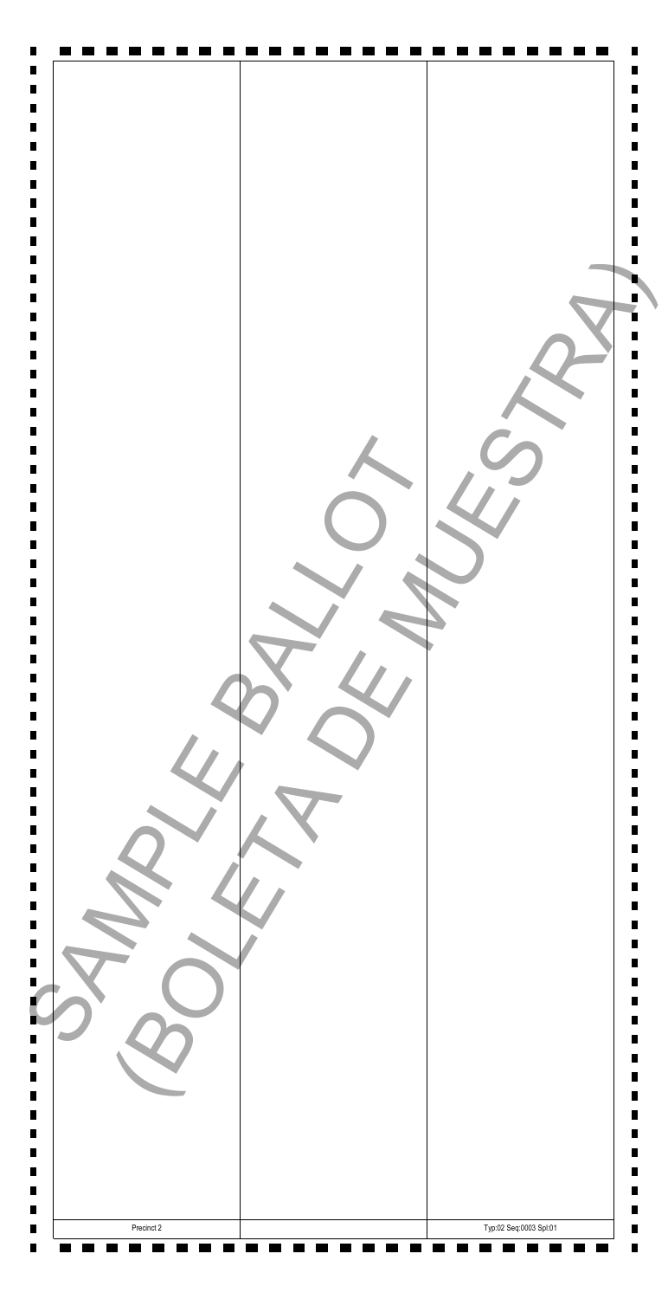| Precinct 2 | Typ:02 Seq:0003 Spl:01 |
|------------|------------------------|

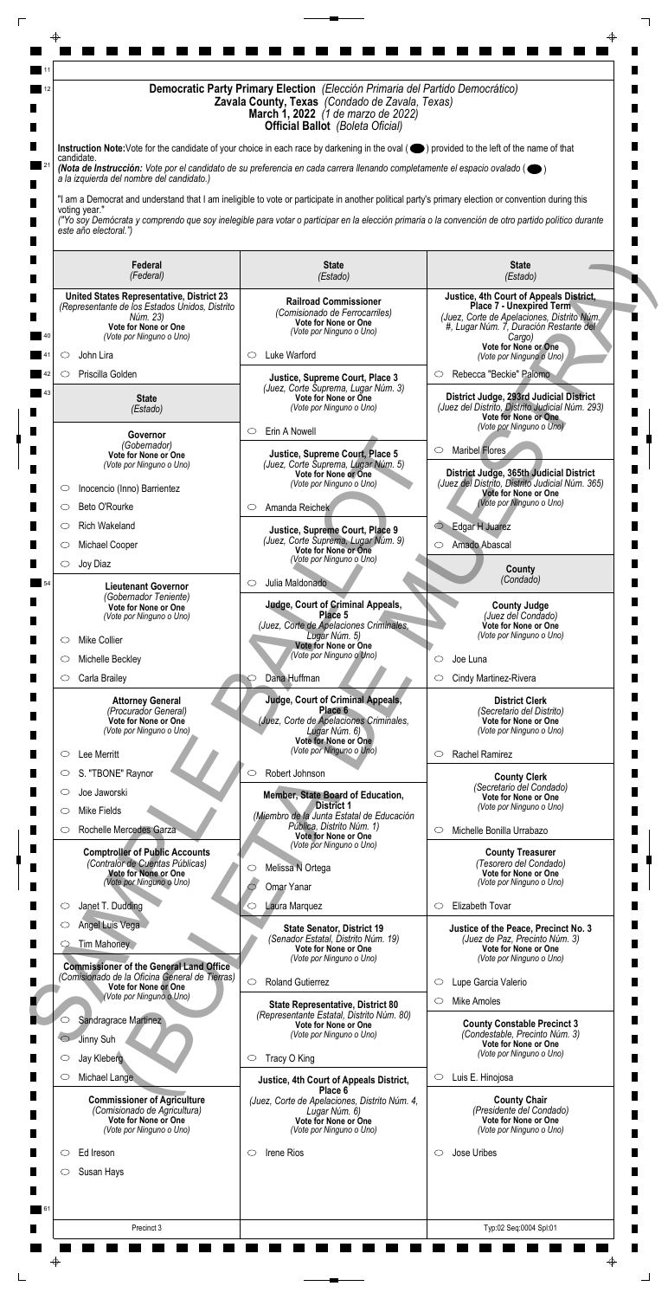| Democratic Party Primary Election (Elección Primaria del Partido Democrático)<br>Zavala County, Texas (Condado de Zavala, Texas)<br><b>March 1, 2022</b> (1 de marzo de 2022)<br><b>Official Ballot</b> (Boleta Oficial) |                                                                                                                                                                                                                                                                                                           |                                                                                            |  |  |
|--------------------------------------------------------------------------------------------------------------------------------------------------------------------------------------------------------------------------|-----------------------------------------------------------------------------------------------------------------------------------------------------------------------------------------------------------------------------------------------------------------------------------------------------------|--------------------------------------------------------------------------------------------|--|--|
| candidate.                                                                                                                                                                                                               | Instruction Note: Vote for the candidate of your choice in each race by darkening in the oval (O) provided to the left of the name of that                                                                                                                                                                |                                                                                            |  |  |
| a la izquierda del nombre del candidato.)                                                                                                                                                                                | (Nota de Instrucción: Vote por el candidato de su preferencia en cada carrera llenando completamente el espacio ovalado ( $\bullet$ )                                                                                                                                                                     |                                                                                            |  |  |
| voting year."<br>este año electoral.")                                                                                                                                                                                   | "I am a Democrat and understand that I am ineligible to vote or participate in another political party's primary election or convention during this<br>("Yo soy Demócrata y comprendo que soy inelegible para votar o participar en la elección primaria o la convención de otro partido político durante |                                                                                            |  |  |
| Federal<br>(Federal)                                                                                                                                                                                                     | <b>State</b><br>(Estado)                                                                                                                                                                                                                                                                                  | <b>State</b><br>(Estado)                                                                   |  |  |
| <b>United States Representative, District 23</b>                                                                                                                                                                         | <b>Railroad Commissioner</b>                                                                                                                                                                                                                                                                              | Justice, 4th Court of Appeals District,                                                    |  |  |
| (Representante de los Estados Unidos, Distrito<br>Núm. 23)                                                                                                                                                               | (Comisionado de Ferrocarriles)<br>Vote for None or One                                                                                                                                                                                                                                                    | <b>Place 7 - Unexpired Term</b><br>(Juez, Corte de Apelaciones, Distrito Núm.              |  |  |
| Vote for None or One<br>(Vote por Ninguno o Uno)                                                                                                                                                                         | (Vote por Ninguno o Uno)                                                                                                                                                                                                                                                                                  | #, Lugar Núm. 7, Duración Restante del<br>Cargo)                                           |  |  |
| John Lira<br>O                                                                                                                                                                                                           | Luke Warford<br>O                                                                                                                                                                                                                                                                                         | Vote for None or One<br>(Vote por Ninguno o Uno)                                           |  |  |
| Priscilla Golden<br>O                                                                                                                                                                                                    | Justice, Supreme Court, Place 3                                                                                                                                                                                                                                                                           | Rebecca "Beckie" Palomo<br>$\circ$                                                         |  |  |
| <b>State</b>                                                                                                                                                                                                             | (Juez, Corte Suprema, Lugar Núm. 3)<br>Vote for None or One                                                                                                                                                                                                                                               | District Judge, 293rd Judicial District                                                    |  |  |
| (Estado)                                                                                                                                                                                                                 | (Vote por Ninguno o Uno)                                                                                                                                                                                                                                                                                  | (Juez del Distrito, Distrito Judicial Núm. 293)<br><b>Vote for None or One</b>             |  |  |
| Governor                                                                                                                                                                                                                 | Erin A Nowell<br>$\circ$                                                                                                                                                                                                                                                                                  | (Vote por Ninguno o Uno)                                                                   |  |  |
| (Gobernador)<br>Vote for None or One<br>(Vote por Ninguno o Uno)                                                                                                                                                         | Justice, Supreme Court, Place 5<br>(Juez, Corte Suprema, Lugar Núm. 5)                                                                                                                                                                                                                                    | Maribel Flores<br>O                                                                        |  |  |
|                                                                                                                                                                                                                          | Vote for None or One<br>(Vote por Ninguno o Uno)                                                                                                                                                                                                                                                          | District Judge, 365th Judicial District<br>(Juez del Distrito, Distrito Judicial Núm. 365) |  |  |
| Inocencio (Inno) Barrientez<br>O                                                                                                                                                                                         |                                                                                                                                                                                                                                                                                                           | <b>Vote for None or One</b><br>(Vote por Ninguno o Uno)                                    |  |  |
| Beto O'Rourke<br>$\circ$                                                                                                                                                                                                 | Amanda Reichek<br>$\circ$                                                                                                                                                                                                                                                                                 |                                                                                            |  |  |
| <b>Rich Wakeland</b><br>O<br>Michael Cooper<br>O                                                                                                                                                                         | Justice, Supreme Court, Place 9<br>(Juez, Corte Suprema, Lugar Núm. 9)                                                                                                                                                                                                                                    | Edgar H Juarez<br>$\bigcirc$<br>Amado Abascal<br>$\circ$                                   |  |  |
| Joy Diaz<br>$\circ$                                                                                                                                                                                                      | Vote for None or One<br>(Vote por Ninguno o Uno)                                                                                                                                                                                                                                                          |                                                                                            |  |  |
|                                                                                                                                                                                                                          | Julia Maldonado<br>$\circ$                                                                                                                                                                                                                                                                                | County<br>(Condado)                                                                        |  |  |
| <b>Lieutenant Governor</b><br>(Gobernador Teniente)                                                                                                                                                                      | <b>Judge, Court of Criminal Appeals,</b>                                                                                                                                                                                                                                                                  |                                                                                            |  |  |
| Vote for None or One<br>(Vote por Ninguno o Uno)                                                                                                                                                                         | Place 5<br>(Juez, Corte de Apelaciones Criminales,                                                                                                                                                                                                                                                        | <b>County Judge</b><br>(Juez del Condado)<br>Vote for None or One                          |  |  |
| <b>Mike Collier</b><br>$\circ$                                                                                                                                                                                           | Lugar Núm. 5)<br>Vote for None or One                                                                                                                                                                                                                                                                     | (Vote por Ninguno o Uno)                                                                   |  |  |
| Michelle Beckley                                                                                                                                                                                                         | (Vote por Ninguno o Uno)                                                                                                                                                                                                                                                                                  | Joe Luna<br>◯                                                                              |  |  |
| Carla Brailey<br>O                                                                                                                                                                                                       | Dana Huffman                                                                                                                                                                                                                                                                                              | Cindy Martinez-Rivera<br>$\circ$                                                           |  |  |
| <b>Attorney General</b>                                                                                                                                                                                                  | Judge, Court of Criminal Appeals,                                                                                                                                                                                                                                                                         | <b>District Clerk</b>                                                                      |  |  |
| (Procurador General)<br>Vote for None or One                                                                                                                                                                             | Place 6<br>(Juez, Corte de Apelaciones Criminales,                                                                                                                                                                                                                                                        | (Secretario del Distrito)<br>Vote for None or One                                          |  |  |
| (Vote por Ninguno o Uno)                                                                                                                                                                                                 | Lugar Núm. 6)<br>Vote for None or One                                                                                                                                                                                                                                                                     | (Vote por Ninguno o Uno)                                                                   |  |  |
| Lee Merritt<br>$\circ$                                                                                                                                                                                                   | (Vote por Ninguno o Uno)                                                                                                                                                                                                                                                                                  | Rachel Ramirez<br>$\circ$                                                                  |  |  |
| S. "TBONE" Raynor<br>$\circ$                                                                                                                                                                                             | Robert Johnson<br>$\circlearrowright$                                                                                                                                                                                                                                                                     | <b>County Clerk</b><br>(Secretario del Condado)                                            |  |  |
| Joe Jaworski<br>$\circ$                                                                                                                                                                                                  | Member, State Board of Education,<br><b>District 1</b>                                                                                                                                                                                                                                                    | Vote for None or One<br>(Vote por Ninguno o Uno)                                           |  |  |
| Mike Fields<br>O<br>Rochelle Mercedes Garza<br>O                                                                                                                                                                         | (Miembro de la Junta Estatal de Educación<br>Pública, Distrito Núm. 1)                                                                                                                                                                                                                                    | Michelle Bonilla Urrabazo<br>$\circ$                                                       |  |  |
|                                                                                                                                                                                                                          | Vote for None or One<br>(Vote por Ninguno o Uno)                                                                                                                                                                                                                                                          |                                                                                            |  |  |
| <b>Comptroller of Public Accounts</b><br>(Contralor de Cuentas Públicas)                                                                                                                                                 | Melissa N Ortega<br>$\circ$                                                                                                                                                                                                                                                                               | <b>County Treasurer</b><br>(Tesorero del Condado)                                          |  |  |
| Vote for None or One<br>(Vote por Ninguno o Uno)                                                                                                                                                                         | Omar Yanar                                                                                                                                                                                                                                                                                                | Vote for None or One<br>(Vote por Ninguno o Uno)                                           |  |  |
| Janet T. Dudding<br>O                                                                                                                                                                                                    | Laura Marquez<br>$\circ$                                                                                                                                                                                                                                                                                  | Elizabeth Tovar<br>$\circ$                                                                 |  |  |
| Angel Luis Vega                                                                                                                                                                                                          | <b>State Senator, District 19</b>                                                                                                                                                                                                                                                                         | Justice of the Peace, Precinct No. 3                                                       |  |  |
| Tim Mahoney<br><b>Commissioner of the General Land Office</b>                                                                                                                                                            | (Senador Estatal, Distrito Núm. 19)<br>Vote for None or One<br>(Vote por Ninguno o Uno)                                                                                                                                                                                                                   | (Juez de Paz, Precinto Núm. 3)<br>Vote for None or One<br>(Vote por Ninguno o Uno)         |  |  |
| (Comisionado de la Oficina General de Tierras)<br>Vote for None or One                                                                                                                                                   | $\circ$<br><b>Roland Gutierrez</b>                                                                                                                                                                                                                                                                        | Lupe Garcia Valerio<br>$\circ$                                                             |  |  |
| (Vote por Ninguno o Uno)                                                                                                                                                                                                 | <b>State Representative, District 80</b>                                                                                                                                                                                                                                                                  | Mike Amoles<br>$\circ$                                                                     |  |  |
| Sandragrace Martinez<br>O                                                                                                                                                                                                | (Representante Estatal, Distrito Núm. 80)<br>Vote for None or One                                                                                                                                                                                                                                         | <b>County Constable Precinct 3</b>                                                         |  |  |
|                                                                                                                                                                                                                          |                                                                                                                                                                                                                                                                                                           |                                                                                            |  |  |
| Jinny Suh<br>$\circ$                                                                                                                                                                                                     | (Vote por Ninguno o Uno)                                                                                                                                                                                                                                                                                  | (Condestable, Precinto Núm. 3)<br>Vote for None or One<br>(Vote por Ninguno o Uno)         |  |  |

| Michael Lange<br>O<br><b>Commissioner of Agriculture</b><br>(Comisionado de Agricultura) | $\circ$<br>Justice, 4th Court of Appeals District,<br>Place 6                                                             | Luis E. Hinojosa                                                                                    |
|------------------------------------------------------------------------------------------|---------------------------------------------------------------------------------------------------------------------------|-----------------------------------------------------------------------------------------------------|
| Vote for None or One<br>(Vote por Ninguno o Uno)                                         | (Juez, Corte de Apelaciones, Distrito Núm. 4,<br>Lugar Núm. 6)<br><b>Vote for None or One</b><br>(Vote por Ninguno o Uno) | <b>County Chair</b><br>(Presidente del Condado)<br>Vote for None or One<br>(Vote por Ninguno o Uno) |
| Ed Ireson<br><b>Irene Rios</b><br>O<br>Susan Hays<br>O                                   | Jose Uribes<br>$\circlearrowright$                                                                                        |                                                                                                     |
| Precinct 3                                                                               |                                                                                                                           | Typ:02 Seq:0004 Spl:01                                                                              |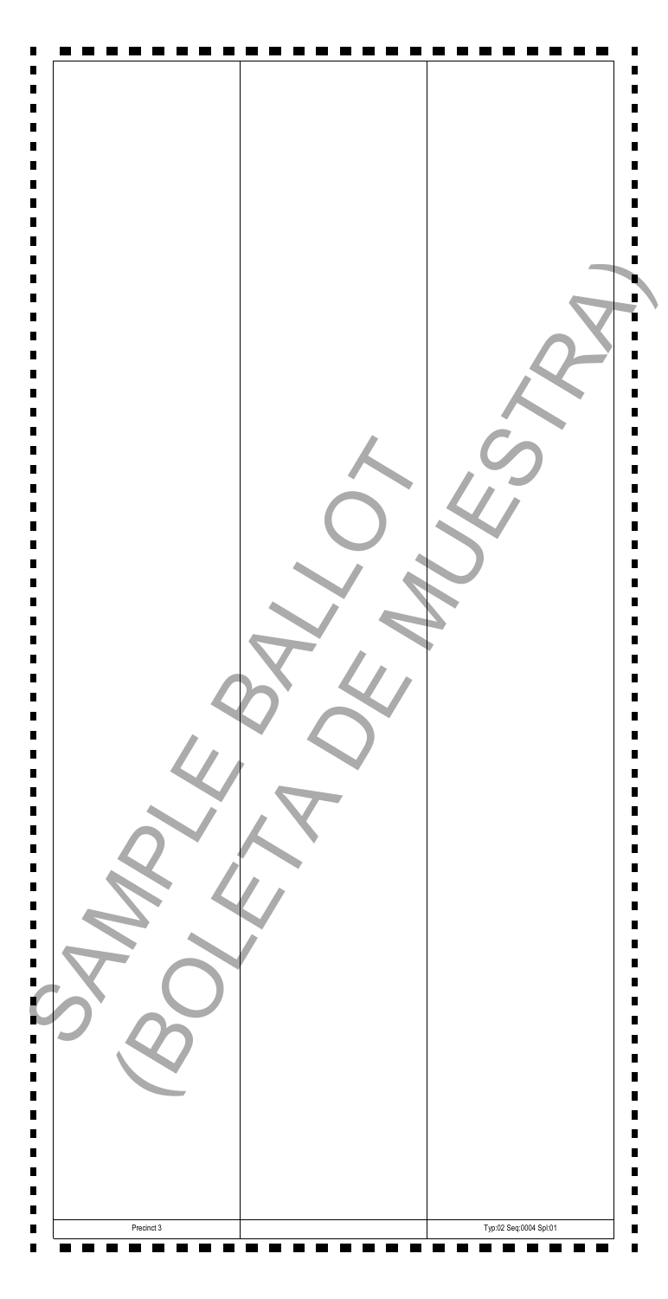| B<br>$\blacksquare$<br>$\blacksquare$<br>$\blacksquare$<br>$\blacksquare$<br>п<br>Ш<br>$\blacksquare$<br>$\blacksquare$<br>П |                        |
|------------------------------------------------------------------------------------------------------------------------------|------------------------|
| Precinct 3<br>П                                                                                                              | Typ:02 Seq:0004 Spl:01 |

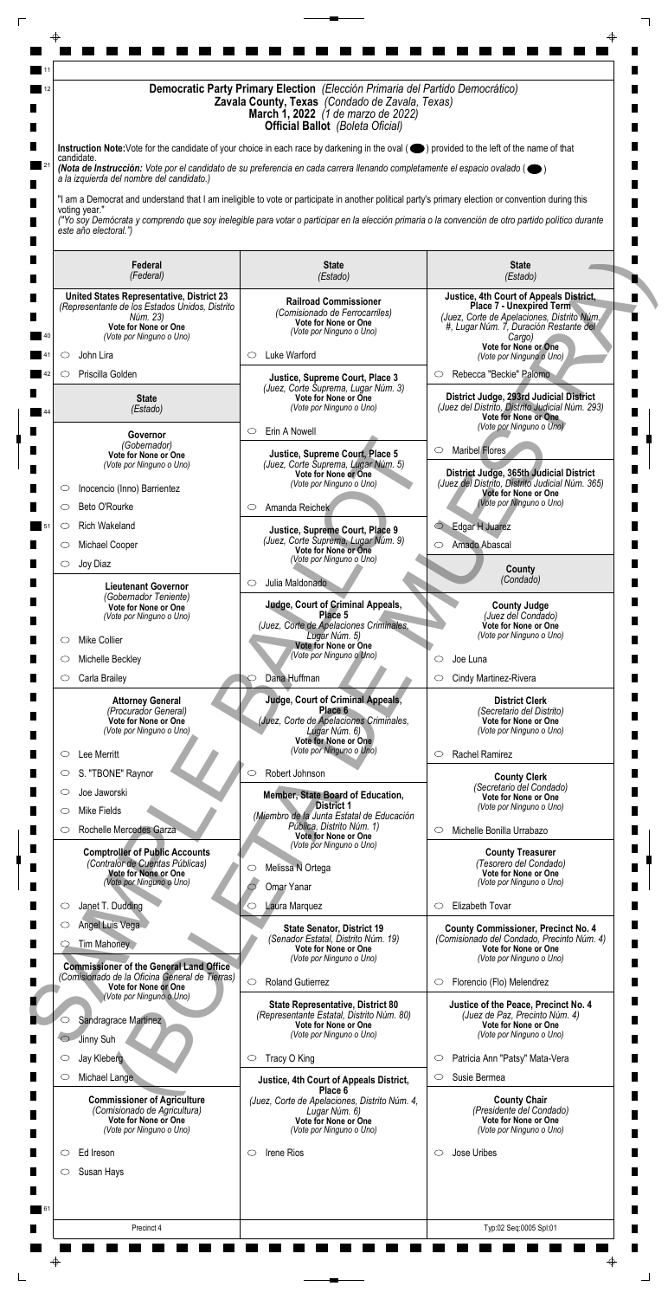| Democratic Party Primary Election (Elección Primaria del Partido Democrático)<br>Zavala County, Texas (Condado de Zavala, Texas)<br><b>March 1, 2022</b> (1 de marzo de 2022)<br><b>Official Ballot</b> (Boleta Oficial) |                                                                                                                                                                                                                                                                                                           |                                                                                                                                                                              |  |
|--------------------------------------------------------------------------------------------------------------------------------------------------------------------------------------------------------------------------|-----------------------------------------------------------------------------------------------------------------------------------------------------------------------------------------------------------------------------------------------------------------------------------------------------------|------------------------------------------------------------------------------------------------------------------------------------------------------------------------------|--|
| Instruction Note: Vote for the candidate of your choice in each race by darkening in the oval (O) provided to the left of the name of that<br>candidate.                                                                 |                                                                                                                                                                                                                                                                                                           |                                                                                                                                                                              |  |
| (Nota de Instrucción: Vote por el candidato de su preferencia en cada carrera llenando completamente el espacio ovalado ( $\bullet$ )<br>a la izquierda del nombre del candidato.)                                       |                                                                                                                                                                                                                                                                                                           |                                                                                                                                                                              |  |
| voting year."<br>este año electoral.")                                                                                                                                                                                   | "I am a Democrat and understand that I am ineligible to vote or participate in another political party's primary election or convention during this<br>("Yo soy Demócrata y comprendo que soy inelegible para votar o participar en la elección primaria o la convención de otro partido político durante |                                                                                                                                                                              |  |
| Federal<br>(Federal)                                                                                                                                                                                                     | <b>State</b><br>(Estado)                                                                                                                                                                                                                                                                                  | <b>State</b><br>(Estado)                                                                                                                                                     |  |
| United States Representative, District 23<br>(Representante de los Estados Unidos, Distrito<br>Núm. 23)<br>Vote for None or One<br>(Vote por Ninguno o Uno)                                                              | <b>Railroad Commissioner</b><br>(Comisionado de Ferrocarriles)<br>Vote for None or One<br>(Vote por Ninguno o Uno)                                                                                                                                                                                        | Justice, 4th Court of Appeals District,<br><b>Place 7 - Unexpired Term</b><br>(Juez, Corte de Apelaciones, Distrito Núm.<br>#, Lugar Núm. 7, Duración Restante del<br>Cargo) |  |
| John Lira<br>O                                                                                                                                                                                                           | Luke Warford<br>O                                                                                                                                                                                                                                                                                         | Vote for None or One<br>(Vote por Ninguno o Uno)                                                                                                                             |  |
| Priscilla Golden<br>$\circlearrowright$                                                                                                                                                                                  | Justice, Supreme Court, Place 3                                                                                                                                                                                                                                                                           | Rebecca "Beckie" Palomo<br>$\circ$                                                                                                                                           |  |
| <b>State</b><br>(Estado)                                                                                                                                                                                                 | (Juez, Corte Suprema, Lugar Núm. 3)<br>Vote for None or One<br>(Vote por Ninguno o Uno)<br>Erin A Nowell<br>$\circ$                                                                                                                                                                                       | District Judge, 293rd Judicial District<br>(Juez del Distrito, Distrito Judicial Núm. 293)<br>Vote for None or One.<br>(Vote por Ninguno o Uno)                              |  |
| Governor<br>(Gobernador)                                                                                                                                                                                                 |                                                                                                                                                                                                                                                                                                           | <b>Maribel Flores</b><br>$\circ$                                                                                                                                             |  |
| Vote for None or One<br>(Vote por Ninguno o Uno)<br>Inocencio (Inno) Barrientez<br>O                                                                                                                                     | Justice, Supreme Court, Place 5<br>(Juez, Corte Suprema, Lugar Núm. 5)<br>Vote for None or One<br>(Vote por Ninguno o Uno)                                                                                                                                                                                | District Judge, 365th Judicial District<br>(Juez del Distrito, Distrito Judicial Núm. 365)<br><b>Vote for None or One</b>                                                    |  |
| Beto O'Rourke<br>$\circ$                                                                                                                                                                                                 | Amanda Reichek<br>$\circ$                                                                                                                                                                                                                                                                                 | (Vote por Ninguno o Uno)                                                                                                                                                     |  |
| <b>Rich Wakeland</b><br>$\circ$                                                                                                                                                                                          | Justice, Supreme Court, Place 9                                                                                                                                                                                                                                                                           | C Edgar H Juarez                                                                                                                                                             |  |
| Michael Cooper<br>$\circ$                                                                                                                                                                                                | (Juez, Corte Suprema, Lugar Núm. 9)<br>Vote for None or One                                                                                                                                                                                                                                               | Amado Abascal<br>$\circ$                                                                                                                                                     |  |
| Joy Diaz<br>$\circ$                                                                                                                                                                                                      | (Vote por Ninguno o Uno)                                                                                                                                                                                                                                                                                  | County<br>(Condado)                                                                                                                                                          |  |
| <b>Lieutenant Governor</b><br>(Gobernador Teniente)                                                                                                                                                                      | Julia Maldonado<br>$\circ$                                                                                                                                                                                                                                                                                |                                                                                                                                                                              |  |
| Vote for None or One<br>(Vote por Ninguno o Uno)<br><b>Mike Collier</b><br>$\circ$                                                                                                                                       | <b>Judge, Court of Criminal Appeals,</b><br>Place 5<br>(Juez, Corte de Apelaciones Criminales,<br>Lugar Núm. 5)                                                                                                                                                                                           | <b>County Judge</b><br>(Juez del Condado)<br>Vote for None or One<br>(Vote por Ninguno o Uno)                                                                                |  |
| Michelle Beckley<br>C                                                                                                                                                                                                    | Vote for None or One<br>(Vote por Ninguno o Uno)                                                                                                                                                                                                                                                          | Joe Luna<br>◯                                                                                                                                                                |  |
| Carla Brailey<br>$\circ$                                                                                                                                                                                                 | Dana Huffman                                                                                                                                                                                                                                                                                              | Cindy Martinez-Rivera<br>$\circlearrowright$                                                                                                                                 |  |
| <b>Attorney General</b><br>(Procurador General)<br>Vote for None or One<br>(Vote por Ninguno o Uno)                                                                                                                      | <b>Judge, Court of Criminal Appeals,</b><br>Place 6<br>(Juez, Corte de Apelaciones Criminales,                                                                                                                                                                                                            | <b>District Clerk</b><br>(Secretario del Distrito)<br>Vote for None or One                                                                                                   |  |
|                                                                                                                                                                                                                          | Lugar Núm. 6)<br>Vote for None or One<br>(Vote por Ninguno o Uno)                                                                                                                                                                                                                                         | (Vote por Ninguno o Uno)                                                                                                                                                     |  |
| Lee Merritt<br>$\circ$<br>S. "TBONE" Raynor<br>$\circlearrowright$                                                                                                                                                       | Robert Johnson<br>$\circlearrowright$                                                                                                                                                                                                                                                                     | Rachel Ramirez<br>$\circ$                                                                                                                                                    |  |
| Joe Jaworski<br>$\circ$<br>Mike Fields<br>C                                                                                                                                                                              | Member, State Board of Education,<br><b>District 1</b><br>(Miembro de la Junta Estatal de Educación                                                                                                                                                                                                       | <b>County Clerk</b><br>(Secretario del Condado)<br>Vote for None or One<br>(Vote por Ninguno o Uno)                                                                          |  |
| Rochelle Mercedes Garza<br>O                                                                                                                                                                                             | Pública, Distrito Núm. 1)<br>Vote for None or One                                                                                                                                                                                                                                                         | Michelle Bonilla Urrabazo<br>$\circ$                                                                                                                                         |  |
| <b>Comptroller of Public Accounts</b><br>(Contralor de Cuentas Públicas)<br>Vote for None or One<br>(Vote por Ninguno o Uno)                                                                                             | (Vote por Ninguno o Uno)<br>Melissa N Ortega<br>$\circ$                                                                                                                                                                                                                                                   | <b>County Treasurer</b><br>(Tesorero del Condado)<br>Vote for None or One<br>(Vote por Ninguno o Uno)                                                                        |  |
| Janet T. Dudding<br>$\circ$                                                                                                                                                                                              | Omar Yanar<br>Laura Marquez<br>$\circ$                                                                                                                                                                                                                                                                    | Elizabeth Tovar<br>$\circ$                                                                                                                                                   |  |
| Angel Luis Vega                                                                                                                                                                                                          | <b>State Senator, District 19</b>                                                                                                                                                                                                                                                                         | <b>County Commissioner, Precinct No. 4</b>                                                                                                                                   |  |
| <b>Tim Mahoney</b><br><b>Commissioner of the General Land Office</b>                                                                                                                                                     | (Senador Estatal, Distrito Núm. 19)<br>Vote for None or One<br>(Vote por Ninguno o Uno)                                                                                                                                                                                                                   | (Comisionado del Condado, Precinto Núm. 4)<br>Vote for None or One<br>(Vote por Ninguno o Uno)                                                                               |  |
| (Comisionado de la Oficina General de Tierras)<br>Vote for None or One                                                                                                                                                   | <b>Roland Gutierrez</b><br>$\circ$                                                                                                                                                                                                                                                                        | Florencio (Flo) Melendrez<br>$\circ$                                                                                                                                         |  |
| (Vote por Ninguno o Uno)<br>Sandragrace Martinez<br>O<br>Jinny Suh<br>$\circ$                                                                                                                                            | <b>State Representative, District 80</b><br>(Representante Estatal, Distrito Núm. 80)<br>Vote for None or One<br>(Vote por Ninguno o Uno)                                                                                                                                                                 | Justice of the Peace, Precinct No. 4<br>(Juez de Paz, Precinto Núm. 4)<br>Vote for None or One<br>(Vote por Ninguno o Uno)                                                   |  |
|                                                                                                                                                                                                                          |                                                                                                                                                                                                                                                                                                           |                                                                                                                                                                              |  |
| Jay Kleberg<br>$\circ$                                                                                                                                                                                                   | Tracy O King<br>$\circ$                                                                                                                                                                                                                                                                                   | Patricia Ann "Patsy" Mata-Vera<br>$\circ$                                                                                                                                    |  |

| Angel Luis vega<br>Tim Mahoney<br><b>Commissioner of the General Land Office</b>                                                             | <b>State Senator, District 19</b><br>(Senador Estatal, Distrito Núm. 19)<br>Vote for None or One<br>(Vote por Ninguno o Uno)                                                    | <b>County Commissioner, Precinct No. 4</b><br>(Comisionado del Condado, Precinto Núm. 4)<br><b>Vote for None or One</b><br>(Vote por Ninguno o Uno)                  |
|----------------------------------------------------------------------------------------------------------------------------------------------|---------------------------------------------------------------------------------------------------------------------------------------------------------------------------------|----------------------------------------------------------------------------------------------------------------------------------------------------------------------|
| (Comisionado de la Oficina General de Tierras)<br>Vote for None or One<br>(Vote por Ninguno o Uno)<br>Sandragrace Martinez<br>Jinny Suh      | $\circ$<br><b>Roland Gutierrez</b><br><b>State Representative, District 80</b><br>(Representante Estatal, Distrito Núm. 80)<br>Vote for None or One<br>(Vote por Ninguno o Uno) | Florencio (Flo) Melendrez<br>$\subset$<br>Justice of the Peace, Precinct No. 4<br>(Juez de Paz, Precinto Núm. 4)<br>Vote for None or One<br>(Vote por Ninguno o Uno) |
| Jay Kleberg<br>O                                                                                                                             | Tracy O King<br>$\circ$                                                                                                                                                         | Patricia Ann "Patsy" Mata-Vera<br>$\circ$                                                                                                                            |
| Michael Lange<br>O<br><b>Commissioner of Agriculture</b><br>(Comisionado de Agricultura)<br>Vote for None or One<br>(Vote por Ninguno o Uno) | Justice, 4th Court of Appeals District,<br>Place 6<br>(Juez, Corte de Apelaciones, Distrito Núm. 4,<br>Lugar Núm. 6)<br><b>Vote for None or One</b><br>(Vote por Ninguno o Uno) | Susie Bermea<br><b>County Chair</b><br>(Presidente del Condado)<br>Vote for None or One<br>(Vote por Ninguno o Uno)                                                  |
| Ed Ireson<br>( )                                                                                                                             | Irene Rios<br>$\circ$                                                                                                                                                           | Jose Uribes<br>$\subset$                                                                                                                                             |
| Susan Hays                                                                                                                                   |                                                                                                                                                                                 |                                                                                                                                                                      |
|                                                                                                                                              |                                                                                                                                                                                 |                                                                                                                                                                      |
| Precinct 4                                                                                                                                   |                                                                                                                                                                                 | Typ:02 Seq:0005 Spl:01                                                                                                                                               |
| ⊕                                                                                                                                            |                                                                                                                                                                                 |                                                                                                                                                                      |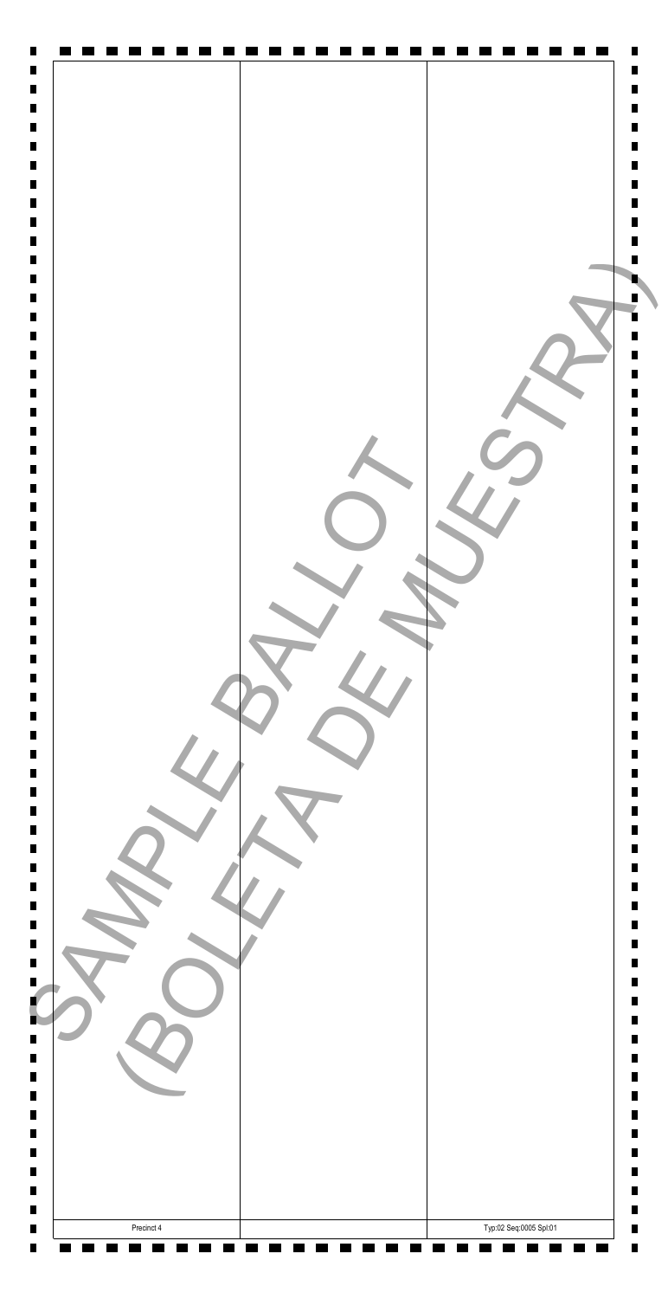| Ш<br>П.<br>$\blacksquare$<br>ш<br>$\blacksquare$ |                        |
|--------------------------------------------------|------------------------|
| Precinct 4                                       | Typ:02 Seq:0005 Spl:01 |

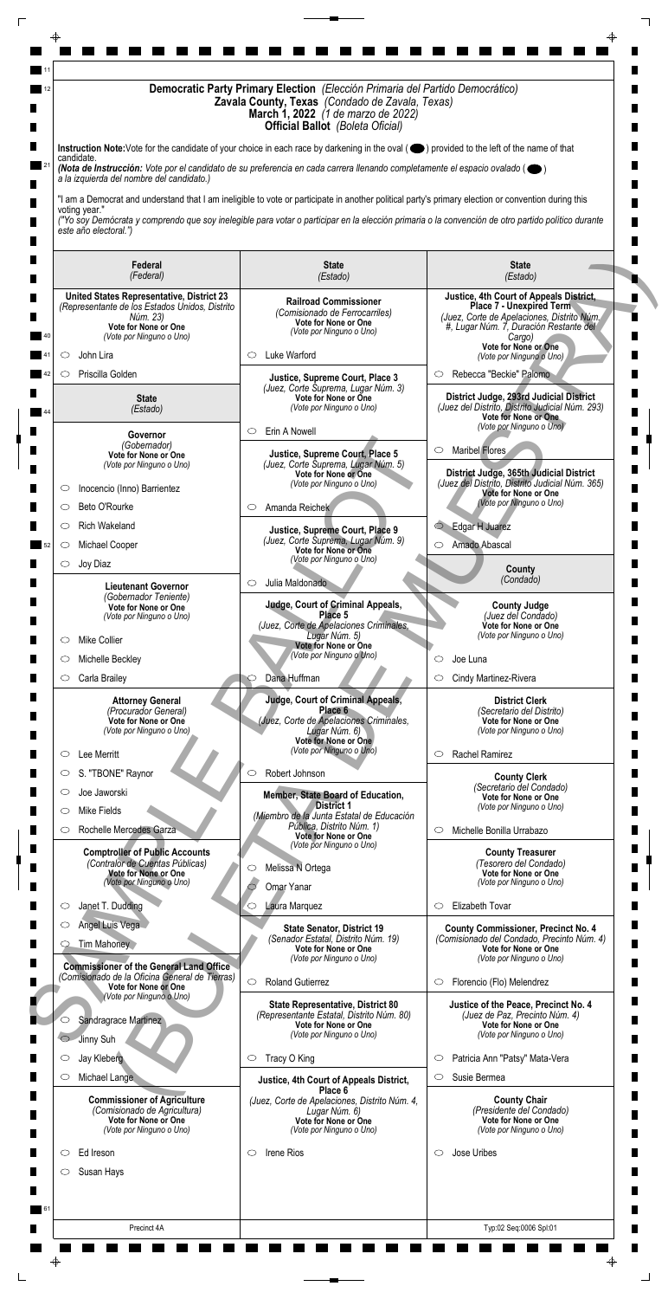| Democratic Party Primary Election (Elección Primaria del Partido Democrático)<br>Zavala County, Texas (Condado de Zavala, Texas)<br><b>March 1, 2022</b> (1 de marzo de 2022)<br><b>Official Ballot</b> (Boleta Oficial) |                                                                                                                                                                                                                                                                                                           |                                                                                                                                                                              |  |
|--------------------------------------------------------------------------------------------------------------------------------------------------------------------------------------------------------------------------|-----------------------------------------------------------------------------------------------------------------------------------------------------------------------------------------------------------------------------------------------------------------------------------------------------------|------------------------------------------------------------------------------------------------------------------------------------------------------------------------------|--|
| candidate.                                                                                                                                                                                                               | Instruction Note: Vote for the candidate of your choice in each race by darkening in the oval (O) provided to the left of the name of that<br>(Nota de Instrucción: Vote por el candidato de su preferencia en cada carrera llenando completamente el espacio ovalado ( $\bullet$ )                       |                                                                                                                                                                              |  |
| a la izquierda del nombre del candidato.)                                                                                                                                                                                |                                                                                                                                                                                                                                                                                                           |                                                                                                                                                                              |  |
| voting year."<br>este año electoral.")                                                                                                                                                                                   | "I am a Democrat and understand that I am ineligible to vote or participate in another political party's primary election or convention during this<br>("Yo soy Demócrata y comprendo que soy inelegible para votar o participar en la elección primaria o la convención de otro partido político durante |                                                                                                                                                                              |  |
| Federal<br>(Federal)                                                                                                                                                                                                     | <b>State</b><br>(Estado)                                                                                                                                                                                                                                                                                  | <b>State</b><br>(Estado)                                                                                                                                                     |  |
| United States Representative, District 23<br>(Representante de los Estados Unidos, Distrito<br>Núm. 23)<br>Vote for None or One<br>(Vote por Ninguno o Uno)                                                              | <b>Railroad Commissioner</b><br>(Comisionado de Ferrocarriles)<br>Vote for None or One<br>(Vote por Ninguno o Uno)                                                                                                                                                                                        | Justice, 4th Court of Appeals District,<br><b>Place 7 - Unexpired Term</b><br>(Juez, Corte de Apelaciones, Distrito Núm.<br>#, Lugar Núm. 7, Duración Restante del<br>Cargo) |  |
| John Lira<br>O                                                                                                                                                                                                           | Luke Warford<br>O                                                                                                                                                                                                                                                                                         | Vote for None or One<br>(Vote por Ninguno o Uno)                                                                                                                             |  |
| Priscilla Golden<br>$\circlearrowright$                                                                                                                                                                                  | Justice, Supreme Court, Place 3                                                                                                                                                                                                                                                                           | Rebecca "Beckie" Palomo<br>$\circ$                                                                                                                                           |  |
| <b>State</b><br>(Estado)                                                                                                                                                                                                 | (Juez, Corte Suprema, Lugar Núm. 3)<br>Vote for None or One<br>(Vote por Ninguno o Uno)<br>Erin A Nowell<br>$\circ$                                                                                                                                                                                       | District Judge, 293rd Judicial District<br>(Juez del Distrito, Distrito Judicial Núm. 293)<br>Vote for None or One.<br>(Vote por Ninguno o Uno)                              |  |
| Governor<br>(Gobernador)                                                                                                                                                                                                 |                                                                                                                                                                                                                                                                                                           | <b>Maribel Flores</b><br>$\circ$                                                                                                                                             |  |
| Vote for None or One<br>(Vote por Ninguno o Uno)<br>Inocencio (Inno) Barrientez<br>O                                                                                                                                     | Justice, Supreme Court, Place 5<br>(Juez, Corte Suprema, Lugar Núm. 5)<br>Vote for None or One<br>(Vote por Ninguno o Uno)                                                                                                                                                                                | District Judge, 365th Judicial District<br>(Juez del Distrito, Distrito Judicial Núm. 365)<br><b>Vote for None or One</b>                                                    |  |
| Beto O'Rourke<br>$\circ$                                                                                                                                                                                                 | Amanda Reichek<br>$\circ$                                                                                                                                                                                                                                                                                 | (Vote por Ninguno o Uno)                                                                                                                                                     |  |
| <b>Rich Wakeland</b><br>O                                                                                                                                                                                                | Justice, Supreme Court, Place 9                                                                                                                                                                                                                                                                           | C Edgar H Juarez                                                                                                                                                             |  |
| Michael Cooper<br>$\circ$                                                                                                                                                                                                | (Juez, Corte Suprema, Lugar Núm. 9)<br>Vote for None or One                                                                                                                                                                                                                                               | Amado Abascal<br>$\circ$                                                                                                                                                     |  |
| Joy Diaz<br>$\circ$                                                                                                                                                                                                      | (Vote por Ninguno o Uno)                                                                                                                                                                                                                                                                                  | County<br>(Condado)                                                                                                                                                          |  |
| <b>Lieutenant Governor</b><br>(Gobernador Teniente)                                                                                                                                                                      | Julia Maldonado<br>$\circ$                                                                                                                                                                                                                                                                                |                                                                                                                                                                              |  |
| Vote for None or One<br>(Vote por Ninguno o Uno)<br><b>Mike Collier</b><br>$\circ$                                                                                                                                       | <b>Judge, Court of Criminal Appeals,</b><br>Place 5<br>(Juez, Corte de Apelaciones Criminales,<br>Lugar Núm. 5)                                                                                                                                                                                           | <b>County Judge</b><br>(Juez del Condado)<br>Vote for None or One<br>(Vote por Ninguno o Uno)                                                                                |  |
| Michelle Beckley<br>C                                                                                                                                                                                                    | Vote for None or One<br>(Vote por Ninguno o Uno)                                                                                                                                                                                                                                                          | Joe Luna<br>◯                                                                                                                                                                |  |
| Carla Brailey<br>$\circ$                                                                                                                                                                                                 | Dana Huffman                                                                                                                                                                                                                                                                                              | Cindy Martinez-Rivera<br>$\circlearrowright$                                                                                                                                 |  |
| <b>Attorney General</b><br>(Procurador General)<br>Vote for None or One<br>(Vote por Ninguno o Uno)                                                                                                                      | <b>Judge, Court of Criminal Appeals,</b><br>Place 6<br>(Juez, Corte de Apelaciones Criminales,<br>Lugar Núm. 6)                                                                                                                                                                                           | <b>District Clerk</b><br>(Secretario del Distrito)<br>Vote for None or One<br>(Vote por Ninguno o Uno)                                                                       |  |
| Lee Merritt<br>$\circ$                                                                                                                                                                                                   | Vote for None or One<br>(Vote por Ninguno o Uno)                                                                                                                                                                                                                                                          | Rachel Ramirez<br>$\circ$                                                                                                                                                    |  |
| S. "TBONE" Raynor<br>$\circlearrowright$                                                                                                                                                                                 | Robert Johnson<br>$\circlearrowright$                                                                                                                                                                                                                                                                     | <b>County Clerk</b>                                                                                                                                                          |  |
| Joe Jaworski<br>$\circ$<br>Mike Fields<br>C                                                                                                                                                                              | Member, State Board of Education,<br><b>District 1</b><br>(Miembro de la Junta Estatal de Educación                                                                                                                                                                                                       | (Secretario del Condado)<br>Vote for None or One<br>(Vote por Ninguno o Uno)                                                                                                 |  |
| Rochelle Mercedes Garza<br>O                                                                                                                                                                                             | Pública, Distrito Núm. 1)<br>Vote for None or One                                                                                                                                                                                                                                                         | Michelle Bonilla Urrabazo<br>$\circ$                                                                                                                                         |  |
| <b>Comptroller of Public Accounts</b><br>(Contralor de Cuentas Públicas)<br>Vote for None or One<br>(Vote por Ninguno o Uno)                                                                                             | (Vote por Ninguno o Uno)<br>Melissa N Ortega<br>$\circ$<br>Omar Yanar                                                                                                                                                                                                                                     | <b>County Treasurer</b><br>(Tesorero del Condado)<br>Vote for None or One<br>(Vote por Ninguno o Uno)                                                                        |  |
| Janet T. Dudding<br>$\circ$                                                                                                                                                                                              | Laura Marquez<br>$\circ$                                                                                                                                                                                                                                                                                  | Elizabeth Tovar<br>$\circ$                                                                                                                                                   |  |
| Angel Luis Vega<br><b>Tim Mahoney</b>                                                                                                                                                                                    | <b>State Senator, District 19</b><br>(Senador Estatal, Distrito Núm. 19)<br>Vote for None or One                                                                                                                                                                                                          | <b>County Commissioner, Precinct No. 4</b><br>(Comisionado del Condado, Precinto Núm. 4)<br>Vote for None or One                                                             |  |
| <b>Commissioner of the General Land Office</b><br>(Comisionado de la Oficina General de Tierras)<br>Vote for None or One                                                                                                 | (Vote por Ninguno o Uno)<br><b>Roland Gutierrez</b><br>$\circ$                                                                                                                                                                                                                                            | (Vote por Ninguno o Uno)<br>Florencio (Flo) Melendrez<br>$\circ$                                                                                                             |  |
| (Vote por Ninguno o Uno)<br>Sandragrace Martinez<br>O<br>Jinny Suh<br>$\circ$                                                                                                                                            | <b>State Representative, District 80</b><br>(Representante Estatal, Distrito Núm. 80)<br>Vote for None or One<br>(Vote por Ninguno o Uno)                                                                                                                                                                 | Justice of the Peace, Precinct No. 4<br>(Juez de Paz, Precinto Núm. 4)<br>Vote for None or One<br>(Vote por Ninguno o Uno)                                                   |  |
|                                                                                                                                                                                                                          | Tracy O King<br>$\circ$                                                                                                                                                                                                                                                                                   | Patricia Ann "Patsy" Mata-Vera<br>$\circ$                                                                                                                                    |  |
| Jay Kleberg<br>$\circ$                                                                                                                                                                                                   |                                                                                                                                                                                                                                                                                                           |                                                                                                                                                                              |  |

| Angel Luis vega<br>Tim Mahoney<br><b>Commissioner of the General Land Office</b>                                                             | <b>State Senator, District 19</b><br>(Senador Estatal, Distrito Núm. 19)<br>Vote for None or One<br>(Vote por Ninguno o Uno)                                                    | <b>County Commissioner, Precinct No. 4</b><br>(Comisionado del Condado, Precinto Núm. 4)<br><b>Vote for None or One</b><br>(Vote por Ninguno o Uno)                  |
|----------------------------------------------------------------------------------------------------------------------------------------------|---------------------------------------------------------------------------------------------------------------------------------------------------------------------------------|----------------------------------------------------------------------------------------------------------------------------------------------------------------------|
| (Comisionado de la Oficina General de Tierras)<br>Vote for None or One<br>(Vote por Ninguno o Uno)<br>Sandragrace Martinez<br>Jinny Suh      | $\circ$<br><b>Roland Gutierrez</b><br><b>State Representative, District 80</b><br>(Representante Estatal, Distrito Núm. 80)<br>Vote for None or One<br>(Vote por Ninguno o Uno) | Florencio (Flo) Melendrez<br>$\subset$<br>Justice of the Peace, Precinct No. 4<br>(Juez de Paz, Precinto Núm. 4)<br>Vote for None or One<br>(Vote por Ninguno o Uno) |
| Jay Kleberg<br>O                                                                                                                             | Tracy O King<br>$\circ$                                                                                                                                                         | Patricia Ann "Patsy" Mata-Vera<br>$\circ$                                                                                                                            |
| Michael Lange<br>O<br><b>Commissioner of Agriculture</b><br>(Comisionado de Agricultura)<br>Vote for None or One<br>(Vote por Ninguno o Uno) | Justice, 4th Court of Appeals District,<br>Place 6<br>(Juez, Corte de Apelaciones, Distrito Núm. 4,<br>Lugar Núm. 6)<br><b>Vote for None or One</b><br>(Vote por Ninguno o Uno) | Susie Bermea<br><b>County Chair</b><br>(Presidente del Condado)<br>Vote for None or One<br>(Vote por Ninguno o Uno)                                                  |
| Ed Ireson<br>( )                                                                                                                             | Irene Rios<br>$\circ$                                                                                                                                                           | Jose Uribes<br>$\subset$                                                                                                                                             |
| Susan Hays                                                                                                                                   |                                                                                                                                                                                 |                                                                                                                                                                      |
|                                                                                                                                              |                                                                                                                                                                                 |                                                                                                                                                                      |
| Precinct 4A                                                                                                                                  |                                                                                                                                                                                 | Typ:02 Seq:0006 Spl:01                                                                                                                                               |
| ⊕                                                                                                                                            |                                                                                                                                                                                 |                                                                                                                                                                      |